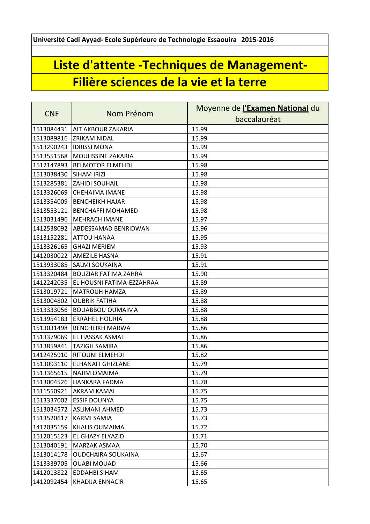**Université Cadi Ayyad- Ecole Supérieure de Technologie Essaouira 2015-2016**

## **Liste d'attente -Techniques de Management-Filière sciences de la vie et la terre**

|            |                             | Moyenne de l'Examen National du |
|------------|-----------------------------|---------------------------------|
| <b>CNE</b> | Nom Prénom                  | baccalauréat                    |
| 1513084431 | <b>AIT AKBOUR ZAKARIA</b>   | 15.99                           |
| 1513089816 | <b>ZRIKAM NIDAL</b>         | 15.99                           |
| 1513290243 | <b>IDRISSI MONA</b>         | 15.99                           |
| 1513551568 | <b>MOUHSSINE ZAKARIA</b>    | 15.99                           |
| 1512147893 | <b>BELMOTOR ELMEHDI</b>     | 15.98                           |
| 1513038430 | <b>SIHAM IRIZI</b>          | 15.98                           |
| 1513285381 | <b>ZAHIDI SOUHAIL</b>       | 15.98                           |
| 1513326069 | <b>CHEHAIMA IMANE</b>       | 15.98                           |
| 1513354009 | <b>BENCHEIKH HAJAR</b>      | 15.98                           |
| 1513553121 | BENCHAFFI MOHAMED           | 15.98                           |
| 1513031496 | <b>MEHRACH IMANE</b>        | 15.97                           |
| 1412538092 | <b>ABDESSAMAD BENRIDWAN</b> | 15.96                           |
| 1513152281 | <b>ATTOU HANAA</b>          | 15.95                           |
| 1513326165 | <b>GHAZI MERIEM</b>         | 15.93                           |
| 1412030022 | <b>AMEZILE HASNA</b>        | 15.91                           |
| 1513933085 | <b>SALMI SOUKAINA</b>       | 15.91                           |
| 1513320484 | <b>BOUZIAR FATIMA ZAHRA</b> | 15.90                           |
| 1412242035 | EL HOUSNI FATIMA-EZZAHRAA   | 15.89                           |
| 1513019721 | <b>MATROUH HAMZA</b>        | 15.89                           |
| 1513004802 | <b>OUBRIK FATIHA</b>        | 15.88                           |
| 1513333056 | <b>BOUABBOU OUMAIMA</b>     | 15.88                           |
| 1513954183 | <b>ERRAHEL HOURIA</b>       | 15.88                           |
| 1513031498 | <b>BENCHEIKH MARWA</b>      | 15.86                           |
| 1513379069 | <b>EL HASSAK ASMAE</b>      | 15.86                           |
| 1513859841 | <b>TAZIGH SAMIRA</b>        | 15.86                           |
| 1412425910 | RITOUNI ELMEHDI             | 15.82                           |
| 1513093110 | <b>ELHANAFI GHIZLANE</b>    | 15.79                           |
| 1513365615 | <b>NAJIM OMAIMA</b>         | 15.79                           |
|            | 1513004526 HANKARA FADMA    | 15.78                           |
| 1511550921 | AKRAM KAMAL                 | 15.75                           |
| 1513337002 | <b>ESSIF DOUNYA</b>         | 15.75                           |
| 1513034572 | ASLIMANI AHMED              | 15.73                           |
| 1513520617 | <b>KARMI SAMIA</b>          | 15.73                           |
| 1412035159 | <b>KHALIS OUMAIMA</b>       | 15.72                           |
| 1512015123 | EL GHAZY ELYAZID            | 15.71                           |
| 1513040191 | <b>MARZAK ASMAA</b>         | 15.70                           |
| 1513014178 | <b>OUDCHAIRA SOUKAINA</b>   | 15.67                           |
| 1513339705 | <b>OUABI MOUAD</b>          | 15.66                           |
| 1412013822 | <b>EDDAHBI SIHAM</b>        | 15.65                           |
| 1412092454 | <b>KHADIJA ENNACIR</b>      | 15.65                           |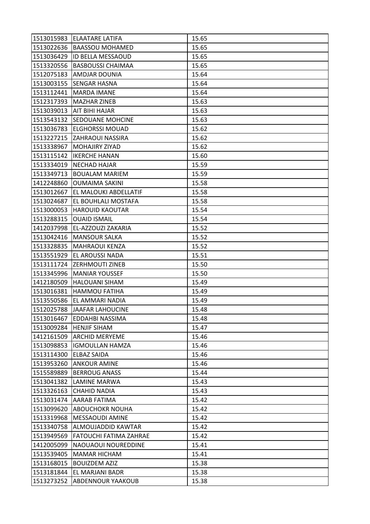| 1513022636<br><b>BAASSOU MOHAMED</b><br>15.65<br>1513036429  ID BELLA MESSAOUD<br>15.65<br><b>BASBOUSSI CHAIMAA</b><br>15.65<br><b>AMDJAR DOUNIA</b><br>15.64<br>15.64<br>SENGAR HASNA<br>15.64<br><b>MARDA IMANE</b><br><b>MAZHAR ZINEB</b><br>15.63<br><b>AIT BIHI HAJAR</b><br>15.63<br>1513543132 SEDOUANE MOHCINE<br>15.63<br>1513036783<br><b>ELGHORSSI MOUAD</b><br>15.62<br>1513227215 ZAHRAOUI NASSIRA<br>15.62<br><b>MOHAJIRY ZIYAD</b><br>15.62<br>1513115142<br><b>IKERCHE HANAN</b><br>15.60<br>1513334019<br><b>NECHAD HAJAR</b><br>15.59<br>15.59<br><b>BOUALAM MARIEM</b><br>1412248860<br>15.58<br><b>OUMAIMA SAKINI</b><br>1513012667<br>EL MALOUKI ABDELLATIF<br>15.58<br>1513024687<br>15.58<br>EL BOUHLALI MOSTAFA<br>1513000053<br><b>HAROUID KAOUTAR</b><br>15.54<br>1513288315<br><b>OUAID ISMAIL</b><br>15.54<br>1412037998<br>EL-AZZOUZI ZAKARIA<br>15.52<br>1513042416<br><b>MANSOUR SALKA</b><br>15.52<br>15.52<br>1513328835<br><b>MAHRAOUI KENZA</b><br>1513551929<br>EL AROUSSI NADA<br>15.51<br>1513111724<br>15.50<br><b>ZERHMOUTI ZINEB</b><br>15.50<br>1513345996<br><b>MANIAR YOUSSEF</b><br>1412180509<br><b>HALOUANI SIHAM</b><br>15.49<br>1513016381<br>15.49<br><b>HAMMOU FATIHA</b><br>1513550586<br>EL AMMARI NADIA<br>15.49<br>1512025788<br><b>JAAFAR LAHOUCINE</b><br>15.48<br>1513016467 EDDAHBI NASSIMA<br>15.48<br>1513009284<br>15.47<br><b>HENJIF SIHAM</b><br><b>ARCHID MERYEME</b><br>15.46<br>1412161509<br>1513098853<br><b>IGMOULLAN HAMZA</b><br>15.46<br>1513114300<br><b>ELBAZ SAIDA</b><br>15.46<br> 1513953260<br><b>ANKOUR AMINE</b><br>15.46<br>15.44<br>1515589889<br><b>BERROUG ANASS</b><br>1513041382<br>LAMINE MARWA<br>15.43<br>1513326163<br><b>CHAHID NADIA</b><br>15.43<br>1513031474<br><b>AARAB FATIMA</b><br>15.42<br>1513099620<br>15.42<br><b>ABOUCHOKR NOUHA</b><br>15.42<br><b>MESSAOUDI AMINE</b><br>1513319968<br>1513340758<br>ALMOUJADDID KAWTAR<br>15.42<br>1513949569<br><b>FATOUCHI FATIMA ZAHRAE</b><br>15.42<br>15.41<br>1412005099<br>NAOUAOUI NOUREDDINE<br>1513539405<br>15.41<br><b>MAMAR HICHAM</b><br>1513168015<br>15.38<br><b>BOUIZDEM AZIZ</b><br>1513181844<br>EL MARJANI BADR<br>15.38 |            | 1513015983 ELAATARE LATIFA | 15.65 |
|------------------------------------------------------------------------------------------------------------------------------------------------------------------------------------------------------------------------------------------------------------------------------------------------------------------------------------------------------------------------------------------------------------------------------------------------------------------------------------------------------------------------------------------------------------------------------------------------------------------------------------------------------------------------------------------------------------------------------------------------------------------------------------------------------------------------------------------------------------------------------------------------------------------------------------------------------------------------------------------------------------------------------------------------------------------------------------------------------------------------------------------------------------------------------------------------------------------------------------------------------------------------------------------------------------------------------------------------------------------------------------------------------------------------------------------------------------------------------------------------------------------------------------------------------------------------------------------------------------------------------------------------------------------------------------------------------------------------------------------------------------------------------------------------------------------------------------------------------------------------------------------------------------------------------------------------------------------------------------------------------------------------------------------------------------------------------------------------------------------------------------------------------------------------------------------|------------|----------------------------|-------|
|                                                                                                                                                                                                                                                                                                                                                                                                                                                                                                                                                                                                                                                                                                                                                                                                                                                                                                                                                                                                                                                                                                                                                                                                                                                                                                                                                                                                                                                                                                                                                                                                                                                                                                                                                                                                                                                                                                                                                                                                                                                                                                                                                                                          |            |                            |       |
|                                                                                                                                                                                                                                                                                                                                                                                                                                                                                                                                                                                                                                                                                                                                                                                                                                                                                                                                                                                                                                                                                                                                                                                                                                                                                                                                                                                                                                                                                                                                                                                                                                                                                                                                                                                                                                                                                                                                                                                                                                                                                                                                                                                          |            |                            |       |
|                                                                                                                                                                                                                                                                                                                                                                                                                                                                                                                                                                                                                                                                                                                                                                                                                                                                                                                                                                                                                                                                                                                                                                                                                                                                                                                                                                                                                                                                                                                                                                                                                                                                                                                                                                                                                                                                                                                                                                                                                                                                                                                                                                                          | 1513320556 |                            |       |
|                                                                                                                                                                                                                                                                                                                                                                                                                                                                                                                                                                                                                                                                                                                                                                                                                                                                                                                                                                                                                                                                                                                                                                                                                                                                                                                                                                                                                                                                                                                                                                                                                                                                                                                                                                                                                                                                                                                                                                                                                                                                                                                                                                                          | 1512075183 |                            |       |
|                                                                                                                                                                                                                                                                                                                                                                                                                                                                                                                                                                                                                                                                                                                                                                                                                                                                                                                                                                                                                                                                                                                                                                                                                                                                                                                                                                                                                                                                                                                                                                                                                                                                                                                                                                                                                                                                                                                                                                                                                                                                                                                                                                                          | 1513003155 |                            |       |
|                                                                                                                                                                                                                                                                                                                                                                                                                                                                                                                                                                                                                                                                                                                                                                                                                                                                                                                                                                                                                                                                                                                                                                                                                                                                                                                                                                                                                                                                                                                                                                                                                                                                                                                                                                                                                                                                                                                                                                                                                                                                                                                                                                                          | 1513112441 |                            |       |
|                                                                                                                                                                                                                                                                                                                                                                                                                                                                                                                                                                                                                                                                                                                                                                                                                                                                                                                                                                                                                                                                                                                                                                                                                                                                                                                                                                                                                                                                                                                                                                                                                                                                                                                                                                                                                                                                                                                                                                                                                                                                                                                                                                                          | 1512317393 |                            |       |
|                                                                                                                                                                                                                                                                                                                                                                                                                                                                                                                                                                                                                                                                                                                                                                                                                                                                                                                                                                                                                                                                                                                                                                                                                                                                                                                                                                                                                                                                                                                                                                                                                                                                                                                                                                                                                                                                                                                                                                                                                                                                                                                                                                                          | 1513039013 |                            |       |
|                                                                                                                                                                                                                                                                                                                                                                                                                                                                                                                                                                                                                                                                                                                                                                                                                                                                                                                                                                                                                                                                                                                                                                                                                                                                                                                                                                                                                                                                                                                                                                                                                                                                                                                                                                                                                                                                                                                                                                                                                                                                                                                                                                                          |            |                            |       |
|                                                                                                                                                                                                                                                                                                                                                                                                                                                                                                                                                                                                                                                                                                                                                                                                                                                                                                                                                                                                                                                                                                                                                                                                                                                                                                                                                                                                                                                                                                                                                                                                                                                                                                                                                                                                                                                                                                                                                                                                                                                                                                                                                                                          |            |                            |       |
|                                                                                                                                                                                                                                                                                                                                                                                                                                                                                                                                                                                                                                                                                                                                                                                                                                                                                                                                                                                                                                                                                                                                                                                                                                                                                                                                                                                                                                                                                                                                                                                                                                                                                                                                                                                                                                                                                                                                                                                                                                                                                                                                                                                          |            |                            |       |
|                                                                                                                                                                                                                                                                                                                                                                                                                                                                                                                                                                                                                                                                                                                                                                                                                                                                                                                                                                                                                                                                                                                                                                                                                                                                                                                                                                                                                                                                                                                                                                                                                                                                                                                                                                                                                                                                                                                                                                                                                                                                                                                                                                                          | 1513338967 |                            |       |
|                                                                                                                                                                                                                                                                                                                                                                                                                                                                                                                                                                                                                                                                                                                                                                                                                                                                                                                                                                                                                                                                                                                                                                                                                                                                                                                                                                                                                                                                                                                                                                                                                                                                                                                                                                                                                                                                                                                                                                                                                                                                                                                                                                                          |            |                            |       |
|                                                                                                                                                                                                                                                                                                                                                                                                                                                                                                                                                                                                                                                                                                                                                                                                                                                                                                                                                                                                                                                                                                                                                                                                                                                                                                                                                                                                                                                                                                                                                                                                                                                                                                                                                                                                                                                                                                                                                                                                                                                                                                                                                                                          |            |                            |       |
|                                                                                                                                                                                                                                                                                                                                                                                                                                                                                                                                                                                                                                                                                                                                                                                                                                                                                                                                                                                                                                                                                                                                                                                                                                                                                                                                                                                                                                                                                                                                                                                                                                                                                                                                                                                                                                                                                                                                                                                                                                                                                                                                                                                          | 1513349713 |                            |       |
|                                                                                                                                                                                                                                                                                                                                                                                                                                                                                                                                                                                                                                                                                                                                                                                                                                                                                                                                                                                                                                                                                                                                                                                                                                                                                                                                                                                                                                                                                                                                                                                                                                                                                                                                                                                                                                                                                                                                                                                                                                                                                                                                                                                          |            |                            |       |
|                                                                                                                                                                                                                                                                                                                                                                                                                                                                                                                                                                                                                                                                                                                                                                                                                                                                                                                                                                                                                                                                                                                                                                                                                                                                                                                                                                                                                                                                                                                                                                                                                                                                                                                                                                                                                                                                                                                                                                                                                                                                                                                                                                                          |            |                            |       |
|                                                                                                                                                                                                                                                                                                                                                                                                                                                                                                                                                                                                                                                                                                                                                                                                                                                                                                                                                                                                                                                                                                                                                                                                                                                                                                                                                                                                                                                                                                                                                                                                                                                                                                                                                                                                                                                                                                                                                                                                                                                                                                                                                                                          |            |                            |       |
|                                                                                                                                                                                                                                                                                                                                                                                                                                                                                                                                                                                                                                                                                                                                                                                                                                                                                                                                                                                                                                                                                                                                                                                                                                                                                                                                                                                                                                                                                                                                                                                                                                                                                                                                                                                                                                                                                                                                                                                                                                                                                                                                                                                          |            |                            |       |
|                                                                                                                                                                                                                                                                                                                                                                                                                                                                                                                                                                                                                                                                                                                                                                                                                                                                                                                                                                                                                                                                                                                                                                                                                                                                                                                                                                                                                                                                                                                                                                                                                                                                                                                                                                                                                                                                                                                                                                                                                                                                                                                                                                                          |            |                            |       |
|                                                                                                                                                                                                                                                                                                                                                                                                                                                                                                                                                                                                                                                                                                                                                                                                                                                                                                                                                                                                                                                                                                                                                                                                                                                                                                                                                                                                                                                                                                                                                                                                                                                                                                                                                                                                                                                                                                                                                                                                                                                                                                                                                                                          |            |                            |       |
|                                                                                                                                                                                                                                                                                                                                                                                                                                                                                                                                                                                                                                                                                                                                                                                                                                                                                                                                                                                                                                                                                                                                                                                                                                                                                                                                                                                                                                                                                                                                                                                                                                                                                                                                                                                                                                                                                                                                                                                                                                                                                                                                                                                          |            |                            |       |
|                                                                                                                                                                                                                                                                                                                                                                                                                                                                                                                                                                                                                                                                                                                                                                                                                                                                                                                                                                                                                                                                                                                                                                                                                                                                                                                                                                                                                                                                                                                                                                                                                                                                                                                                                                                                                                                                                                                                                                                                                                                                                                                                                                                          |            |                            |       |
|                                                                                                                                                                                                                                                                                                                                                                                                                                                                                                                                                                                                                                                                                                                                                                                                                                                                                                                                                                                                                                                                                                                                                                                                                                                                                                                                                                                                                                                                                                                                                                                                                                                                                                                                                                                                                                                                                                                                                                                                                                                                                                                                                                                          |            |                            |       |
|                                                                                                                                                                                                                                                                                                                                                                                                                                                                                                                                                                                                                                                                                                                                                                                                                                                                                                                                                                                                                                                                                                                                                                                                                                                                                                                                                                                                                                                                                                                                                                                                                                                                                                                                                                                                                                                                                                                                                                                                                                                                                                                                                                                          |            |                            |       |
|                                                                                                                                                                                                                                                                                                                                                                                                                                                                                                                                                                                                                                                                                                                                                                                                                                                                                                                                                                                                                                                                                                                                                                                                                                                                                                                                                                                                                                                                                                                                                                                                                                                                                                                                                                                                                                                                                                                                                                                                                                                                                                                                                                                          |            |                            |       |
|                                                                                                                                                                                                                                                                                                                                                                                                                                                                                                                                                                                                                                                                                                                                                                                                                                                                                                                                                                                                                                                                                                                                                                                                                                                                                                                                                                                                                                                                                                                                                                                                                                                                                                                                                                                                                                                                                                                                                                                                                                                                                                                                                                                          |            |                            |       |
|                                                                                                                                                                                                                                                                                                                                                                                                                                                                                                                                                                                                                                                                                                                                                                                                                                                                                                                                                                                                                                                                                                                                                                                                                                                                                                                                                                                                                                                                                                                                                                                                                                                                                                                                                                                                                                                                                                                                                                                                                                                                                                                                                                                          |            |                            |       |
|                                                                                                                                                                                                                                                                                                                                                                                                                                                                                                                                                                                                                                                                                                                                                                                                                                                                                                                                                                                                                                                                                                                                                                                                                                                                                                                                                                                                                                                                                                                                                                                                                                                                                                                                                                                                                                                                                                                                                                                                                                                                                                                                                                                          |            |                            |       |
|                                                                                                                                                                                                                                                                                                                                                                                                                                                                                                                                                                                                                                                                                                                                                                                                                                                                                                                                                                                                                                                                                                                                                                                                                                                                                                                                                                                                                                                                                                                                                                                                                                                                                                                                                                                                                                                                                                                                                                                                                                                                                                                                                                                          |            |                            |       |
|                                                                                                                                                                                                                                                                                                                                                                                                                                                                                                                                                                                                                                                                                                                                                                                                                                                                                                                                                                                                                                                                                                                                                                                                                                                                                                                                                                                                                                                                                                                                                                                                                                                                                                                                                                                                                                                                                                                                                                                                                                                                                                                                                                                          |            |                            |       |
|                                                                                                                                                                                                                                                                                                                                                                                                                                                                                                                                                                                                                                                                                                                                                                                                                                                                                                                                                                                                                                                                                                                                                                                                                                                                                                                                                                                                                                                                                                                                                                                                                                                                                                                                                                                                                                                                                                                                                                                                                                                                                                                                                                                          |            |                            |       |
|                                                                                                                                                                                                                                                                                                                                                                                                                                                                                                                                                                                                                                                                                                                                                                                                                                                                                                                                                                                                                                                                                                                                                                                                                                                                                                                                                                                                                                                                                                                                                                                                                                                                                                                                                                                                                                                                                                                                                                                                                                                                                                                                                                                          |            |                            |       |
|                                                                                                                                                                                                                                                                                                                                                                                                                                                                                                                                                                                                                                                                                                                                                                                                                                                                                                                                                                                                                                                                                                                                                                                                                                                                                                                                                                                                                                                                                                                                                                                                                                                                                                                                                                                                                                                                                                                                                                                                                                                                                                                                                                                          |            |                            |       |
|                                                                                                                                                                                                                                                                                                                                                                                                                                                                                                                                                                                                                                                                                                                                                                                                                                                                                                                                                                                                                                                                                                                                                                                                                                                                                                                                                                                                                                                                                                                                                                                                                                                                                                                                                                                                                                                                                                                                                                                                                                                                                                                                                                                          |            |                            |       |
|                                                                                                                                                                                                                                                                                                                                                                                                                                                                                                                                                                                                                                                                                                                                                                                                                                                                                                                                                                                                                                                                                                                                                                                                                                                                                                                                                                                                                                                                                                                                                                                                                                                                                                                                                                                                                                                                                                                                                                                                                                                                                                                                                                                          |            |                            |       |
|                                                                                                                                                                                                                                                                                                                                                                                                                                                                                                                                                                                                                                                                                                                                                                                                                                                                                                                                                                                                                                                                                                                                                                                                                                                                                                                                                                                                                                                                                                                                                                                                                                                                                                                                                                                                                                                                                                                                                                                                                                                                                                                                                                                          |            |                            |       |
|                                                                                                                                                                                                                                                                                                                                                                                                                                                                                                                                                                                                                                                                                                                                                                                                                                                                                                                                                                                                                                                                                                                                                                                                                                                                                                                                                                                                                                                                                                                                                                                                                                                                                                                                                                                                                                                                                                                                                                                                                                                                                                                                                                                          |            |                            |       |
|                                                                                                                                                                                                                                                                                                                                                                                                                                                                                                                                                                                                                                                                                                                                                                                                                                                                                                                                                                                                                                                                                                                                                                                                                                                                                                                                                                                                                                                                                                                                                                                                                                                                                                                                                                                                                                                                                                                                                                                                                                                                                                                                                                                          |            |                            |       |
|                                                                                                                                                                                                                                                                                                                                                                                                                                                                                                                                                                                                                                                                                                                                                                                                                                                                                                                                                                                                                                                                                                                                                                                                                                                                                                                                                                                                                                                                                                                                                                                                                                                                                                                                                                                                                                                                                                                                                                                                                                                                                                                                                                                          |            |                            |       |
|                                                                                                                                                                                                                                                                                                                                                                                                                                                                                                                                                                                                                                                                                                                                                                                                                                                                                                                                                                                                                                                                                                                                                                                                                                                                                                                                                                                                                                                                                                                                                                                                                                                                                                                                                                                                                                                                                                                                                                                                                                                                                                                                                                                          |            |                            |       |
|                                                                                                                                                                                                                                                                                                                                                                                                                                                                                                                                                                                                                                                                                                                                                                                                                                                                                                                                                                                                                                                                                                                                                                                                                                                                                                                                                                                                                                                                                                                                                                                                                                                                                                                                                                                                                                                                                                                                                                                                                                                                                                                                                                                          |            |                            |       |
|                                                                                                                                                                                                                                                                                                                                                                                                                                                                                                                                                                                                                                                                                                                                                                                                                                                                                                                                                                                                                                                                                                                                                                                                                                                                                                                                                                                                                                                                                                                                                                                                                                                                                                                                                                                                                                                                                                                                                                                                                                                                                                                                                                                          |            |                            |       |
|                                                                                                                                                                                                                                                                                                                                                                                                                                                                                                                                                                                                                                                                                                                                                                                                                                                                                                                                                                                                                                                                                                                                                                                                                                                                                                                                                                                                                                                                                                                                                                                                                                                                                                                                                                                                                                                                                                                                                                                                                                                                                                                                                                                          |            |                            |       |
|                                                                                                                                                                                                                                                                                                                                                                                                                                                                                                                                                                                                                                                                                                                                                                                                                                                                                                                                                                                                                                                                                                                                                                                                                                                                                                                                                                                                                                                                                                                                                                                                                                                                                                                                                                                                                                                                                                                                                                                                                                                                                                                                                                                          |            |                            |       |
|                                                                                                                                                                                                                                                                                                                                                                                                                                                                                                                                                                                                                                                                                                                                                                                                                                                                                                                                                                                                                                                                                                                                                                                                                                                                                                                                                                                                                                                                                                                                                                                                                                                                                                                                                                                                                                                                                                                                                                                                                                                                                                                                                                                          |            |                            |       |
|                                                                                                                                                                                                                                                                                                                                                                                                                                                                                                                                                                                                                                                                                                                                                                                                                                                                                                                                                                                                                                                                                                                                                                                                                                                                                                                                                                                                                                                                                                                                                                                                                                                                                                                                                                                                                                                                                                                                                                                                                                                                                                                                                                                          |            |                            |       |
|                                                                                                                                                                                                                                                                                                                                                                                                                                                                                                                                                                                                                                                                                                                                                                                                                                                                                                                                                                                                                                                                                                                                                                                                                                                                                                                                                                                                                                                                                                                                                                                                                                                                                                                                                                                                                                                                                                                                                                                                                                                                                                                                                                                          |            |                            |       |
|                                                                                                                                                                                                                                                                                                                                                                                                                                                                                                                                                                                                                                                                                                                                                                                                                                                                                                                                                                                                                                                                                                                                                                                                                                                                                                                                                                                                                                                                                                                                                                                                                                                                                                                                                                                                                                                                                                                                                                                                                                                                                                                                                                                          | 1513273252 | <b>ABDENNOUR YAAKOUB</b>   | 15.38 |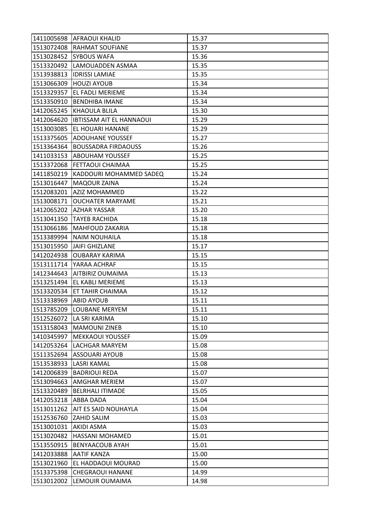|            | 1411005698 AFRAOUI KHALID          | 15.37 |
|------------|------------------------------------|-------|
| 1513072408 | <b>RAHMAT SOUFIANE</b>             | 15.37 |
| 1513028452 | <b>SYBOUS WAFA</b>                 | 15.36 |
| 1513320492 | LAMOUADDEN ASMAA                   | 15.35 |
| 1513938813 | <b>IDRISSI LAMIAE</b>              | 15.35 |
| 1513066309 | <b>HOUZI AYOUB</b>                 | 15.34 |
| 1513329357 | <b>EL FADLI MERIEME</b>            | 15.34 |
| 1513350910 | <b>BENDHIBA IMANE</b>              | 15.34 |
| 1412065245 | <b>KHAOULA BLILA</b>               | 15.30 |
| 1412064620 | <b>IBTISSAM AIT EL HANNAOUI</b>    | 15.29 |
| 1513003085 | <b>EL HOUARI HANANE</b>            | 15.29 |
| 1513375605 | <b>ADOUHANE YOUSSEF</b>            | 15.27 |
| 1513364364 | <b>BOUSSADRA FIRDAOUSS</b>         | 15.26 |
| 1411033153 | <b>ABOUHAM YOUSSEF</b>             | 15.25 |
| 1513372068 | <b>FETTAOUI CHAIMAA</b>            | 15.25 |
|            | 1411850219 KADDOURI MOHAMMED SADEQ | 15.24 |
| 1513016447 | <b>MAQOUR ZAINA</b>                | 15.24 |
| 1512083201 | <b>AZIZ MOHAMMED</b>               | 15.22 |
|            | 1513008171 OUCHATER MARYAME        | 15.21 |
| 1412065202 | <b>AZHAR YASSAR</b>                | 15.20 |
| 1513041350 | <b>TAYEB RACHIDA</b>               | 15.18 |
| 1513066186 | <b>MAHFOUD ZAKARIA</b>             | 15.18 |
| 1513389994 | <b>NAIM NOUHAILA</b>               | 15.18 |
| 1513015950 | <b>JAIFI GHIZLANE</b>              | 15.17 |
| 1412024938 | <b>OUBARAY KARIMA</b>              | 15.15 |
| 1513111714 | YARAA ACHRAF                       | 15.15 |
| 1412344643 | AITBIRIZ OUMAIMA                   | 15.13 |
| 1513251494 | EL KABLI MERIEME                   | 15.13 |
| 1513320534 | <b>ET TAHIR CHAIMAA</b>            | 15.12 |
| 1513338969 | <b>ABID AYOUB</b>                  | 15.11 |
| 1513785209 | LOUBANE MERYEM                     | 15.11 |
|            | 1512526072 LA SRI KARIMA           | 15.10 |
|            | 1513158043   MAMOUNI ZINEB         | 15.10 |
| 1410345997 | <b>MEKKAOUI YOUSSEF</b>            | 15.09 |
| 1412053264 | LACHGAR MARYEM                     | 15.08 |
| 1511352694 | ASSOUARI AYOUB                     | 15.08 |
| 1513538933 | <b>LASRI KAMAL</b>                 | 15.08 |
| 1412006839 | <b>BADRIOUI REDA</b>               | 15.07 |
| 1513094663 | <b>AMGHAR MERIEM</b>               | 15.07 |
| 1513320489 | <b>BELRHALI ITIMADE</b>            | 15.05 |
| 1412053218 | <b>ABBA DADA</b>                   | 15.04 |
|            | 1513011262   AIT ES SAID NOUHAYLA  | 15.04 |
| 1512536760 | <b>ZAHID SALIM</b>                 | 15.03 |
| 1513001031 | AKIDI ASMA                         | 15.03 |
| 1513020482 | <b>HASSANI MOHAMED</b>             | 15.01 |
| 1513550915 | <b>BENYAACOUB AYAH</b>             | 15.01 |
| 1412033888 | <b>AATIF KANZA</b>                 | 15.00 |
| 1513021960 | EL HADDAOUI MOURAD                 | 15.00 |
| 1513375398 | <b>CHEGRAOUI HANANE</b>            | 14.99 |
| 1513012002 | LEMOUIR OUMAIMA                    | 14.98 |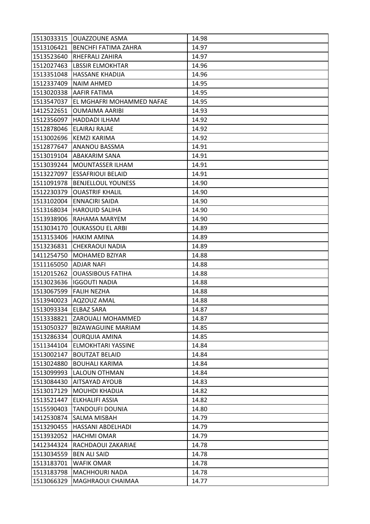|            | 1513033315  OUAZZOUNE ASMA        | 14.98 |
|------------|-----------------------------------|-------|
|            | 1513106421   BENCHFI FATIMA ZAHRA | 14.97 |
|            | 1513523640  RHEFRALI ZAHIRA       | 14.97 |
| 1512027463 | <b>LBSSIR ELMOKHTAR</b>           | 14.96 |
| 1513351048 | <b>HASSANE KHADIJA</b>            | 14.96 |
| 1512337409 | <b>NAIM AHMED</b>                 | 14.95 |
|            | 1513020338 AAFIR FATIMA           | 14.95 |
| 1513547037 | EL MGHAFRI MOHAMMED NAFAE         | 14.95 |
| 1412522651 | OUMAIMA AARIBI                    | 14.93 |
|            | 1512356097   HADDADI ILHAM        | 14.92 |
|            | 1512878046 ELAIRAJ RAJAE          | 14.92 |
|            | 1513002696 KEMZI KARIMA           | 14.92 |
| 1512877647 | <b>ANANOU BASSMA</b>              | 14.91 |
|            | 1513019104 ABAKARIM SANA          | 14.91 |
| 1513039244 | <b>MOUNTASSER ILHAM</b>           | 14.91 |
|            | 1513227097 ESSAFRIOUI BELAID      | 14.91 |
| 1511091978 | <b>BENJELLOUL YOUNESS</b>         | 14.90 |
| 1512230379 | <b>OUASTRIF KHALIL</b>            | 14.90 |
|            | 1513102004 ENNACIRI SAIDA         | 14.90 |
| 1513168034 | <b>HAROUID SALIHA</b>             | 14.90 |
| 1513938906 | RAHAMA MARYEM                     | 14.90 |
| 1513034170 | <b>OUKASSOU EL ARBI</b>           | 14.89 |
|            | 1513153406 HAKIM AMINA            | 14.89 |
| 1513236831 | <b>CHEKRAOUI NADIA</b>            | 14.89 |
| 1411254750 | <b>MOHAMED BZIYAR</b>             | 14.88 |
|            |                                   |       |
| 1511165050 | <b>ADJAR NAFI</b>                 | 14.88 |
| 1512015262 | <b>OUASSIBOUS FATIHA</b>          | 14.88 |
| 1513023636 | <b>IGGOUTI NADIA</b>              | 14.88 |
| 1513067599 | <b>FALIH NEZHA</b>                | 14.88 |
| 1513940023 | <b>AQZOUZ AMAL</b>                | 14.88 |
| 1513093334 | <b>ELBAZ SARA</b>                 | 14.87 |
|            | 1513338821 ZAROUALI MOHAMMED      | 14.87 |
| 1513050327 | <b>BIZAWAGUINE MARIAM</b>         | 14.85 |
| 1513286334 | <b>OURQUIA AMINA</b>              | 14.85 |
| 1511344104 | <b>ELMOKHTARI YASSINE</b>         | 14.84 |
| 1513002147 | <b>BOUTZAT BELAID</b>             | 14.84 |
| 1513024880 | <b>BOUHALI KARIMA</b>             | 14.84 |
| 1513099993 | <b>LALOUN OTHMAN</b>              | 14.84 |
| 1513084430 | <b>AITSAYAD AYOUB</b>             | 14.83 |
| 1513017129 | <b>MOUHDI KHADIJA</b>             | 14.82 |
| 1513521447 | <b>ELKHALIFI ASSIA</b>            | 14.82 |
| 1515590403 | <b>TANDOUFI DOUNIA</b>            | 14.80 |
| 1412530874 | <b>SALMA MISBAH</b>               | 14.79 |
| 1513290455 | HASSANI ABDELHADI                 | 14.79 |
| 1513932052 | <b>HACHMI OMAR</b>                | 14.79 |
| 1412344324 | RACHDAOUI ZAKARIAE                | 14.78 |
| 1513034559 | <b>BEN ALI SAID</b>               | 14.78 |
| 1513183701 | <b>WAFIK OMAR</b>                 | 14.78 |
| 1513183798 | <b>MACHHOURI NADA</b>             | 14.78 |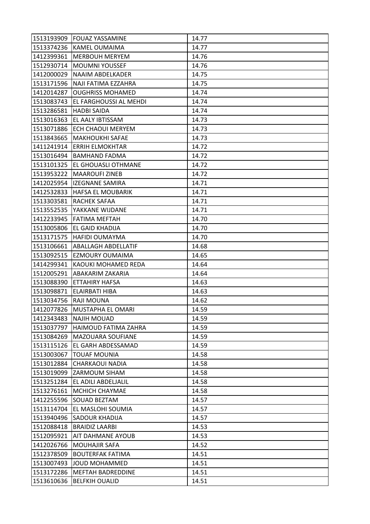|                       | 1513193909 FOUAZ YASSAMINE      | 14.77 |
|-----------------------|---------------------------------|-------|
|                       | 1513374236 KAMEL OUMAIMA        | 14.77 |
|                       | 1412399361   MERBOUH MERYEM     | 14.76 |
| 1512930714            | <b>MOUMNI YOUSSEF</b>           | 14.76 |
| 1412000029            | NAAIM ABDELKADER                | 14.75 |
|                       | 1513171596  NAJI FATIMA EZZAHRA | 14.75 |
|                       | 1412014287 OUGHRISS MOHAMED     | 14.74 |
| 1513083743            | EL FARGHOUSSI AL MEHDI          | 14.74 |
| 1513286581            | <b>HADBI SAIDA</b>              | 14.74 |
| 1513016363            | EL AALY IBTISSAM                | 14.73 |
|                       | 1513071886 ECH CHAOUI MERYEM    | 14.73 |
| 1513843665            | <b>MAKHOUKHI SAFAE</b>          | 14.73 |
| 1411241914            | <b>ERRIH ELMOKHTAR</b>          | 14.72 |
|                       | 1513016494   BAMHAND FADMA      | 14.72 |
| 1513101325            | <b>EL GHOUASLI OTHMANE</b>      | 14.72 |
|                       | 1513953222   MAAROUFI ZINEB     | 14.72 |
| 1412025954            | lizegnane samira                | 14.71 |
| 1412532833            | <b>HAFSA EL MOUBARIK</b>        | 14.71 |
|                       | 1513303581 RACHEK SAFAA         | 14.71 |
| 1513552535            | YAKKANE WIJDANE                 | 14.71 |
|                       | 1412233945   FATIMA MEFTAH      | 14.70 |
| 1513005806            | EL GAID KHADIJA                 | 14.70 |
|                       | 1513171575 HAFIDI OUMAYMA       | 14.70 |
| 1513106661            | <b>ABALLAGH ABDELLATIF</b>      | 14.68 |
| 1513092515            | <b>EZMOURY OUMAIMA</b>          | 14.65 |
| 1414299341            | KAOUKI MOHAMED REDA             | 14.64 |
| 1512005291            | ABAKARIM ZAKARIA                | 14.64 |
| 1513088390            | <b>ETTAHIRY HAFSA</b>           | 14.63 |
| 1513098871            | ELAIRBATI HIBA                  | 14.63 |
| 1513034756 RAJI MOUNA |                                 | 14.62 |
| 1412077826            | <b>MUSTAPHA EL OMARI</b>        | 14.59 |
|                       | 1412343483 NAJIH MOUAD          | 14.59 |
| 1513037797            | HAIMOUD FATIMA ZAHRA            | 14.59 |
| 1513084269            | <b>MAZOUARA SOUFIANE</b>        | 14.59 |
| 1513115126            | EL GARH ABDESSAMAD              | 14.59 |
| 1513003067            | <b>TOUAF MOUNIA</b>             | 14.58 |
| 1513012884            | <b>CHARKAOUI NADIA</b>          | 14.58 |
|                       | 1513019099 ZARMOUM SIHAM        | 14.58 |
| 1513251284            | EL ADILI ABDELJALIL             | 14.58 |
| 1513276161            | <b>MCHICH CHAYMAE</b>           | 14.58 |
|                       | 1412255596 SOUAD BEZTAM         | 14.57 |
|                       | 1513114704 EL MASLOHI SOUMIA    | 14.57 |
| 1513940496            | <b>SADOUR KHADIJA</b>           | 14.57 |
| 1512088418            | <b>BRAIDIZ LAARBI</b>           | 14.53 |
| 1512095921            | <b>AIT DAHMANE AYOUB</b>        | 14.53 |
| 1412026766            | <b>MOUHAJIR SAFA</b>            | 14.52 |
| 1512378509            | <b>BOUTERFAK FATIMA</b>         | 14.51 |
| 1513007493            | JOUD MOHAMMED                   | 14.51 |
|                       |                                 |       |
| 1513172286            | <b>MEFTAH BADREDDINE</b>        | 14.51 |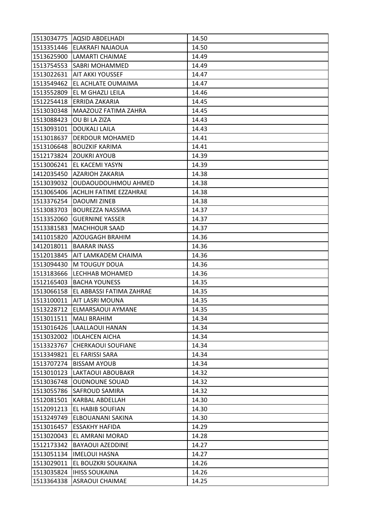|            | 1513034775   AQSID ABDELHADI | 14.50 |
|------------|------------------------------|-------|
|            | 1513351446 ELAKRAFI NAJAOUA  | 14.50 |
|            | 1513625900 LAMARTI CHAIMAE   | 14.49 |
|            | 1513754553 SABRI MOHAMMED    | 14.49 |
|            | 1513022631 AIT AKKI YOUSSEF  | 14.47 |
| 1513549462 | EL ACHLATE OUMAIMA           | 14.47 |
|            | 1513552809 EL M GHAZLI LEILA | 14.46 |
| 1512254418 | ERRIDA ZAKARIA               | 14.45 |
| 1513030348 | MAAZOUZ FATIMA ZAHRA         | 14.45 |
| 1513088423 | OU BI LA ZIZA                | 14.43 |
| 1513093101 | <b>DOUKALI LAILA</b>         | 14.43 |
| 1513018637 | <b>DERDOUR MOHAMED</b>       | 14.41 |
| 1513106648 | <b>BOUZKIF KARIMA</b>        | 14.41 |
|            | 1512173824 ZOUKRI AYOUB      | 14.39 |
| 1513006241 | <b>EL KACEMI YASYN</b>       | 14.39 |
|            | 1412035450 AZARIOH ZAKARIA   | 14.38 |
| 1513039032 | OUDAOUDOUHMOU AHMED          | 14.38 |
| 1513065406 | ACHLIH FATIME EZZAHRAE       | 14.38 |
|            | 1513376254 DAOUMI ZINEB      | 14.38 |
| 1513083703 | <b>BOUREZZA NASSIMA</b>      | 14.37 |
| 1513352060 | <b>GUERNINE YASSER</b>       | 14.37 |
| 1513381583 | <b>MACHHOUR SAAD</b>         | 14.37 |
| 1411015820 | <b>AZOUGAGH BRAHIM</b>       | 14.36 |
| 1412018011 | <b>BAARAR INASS</b>          | 14.36 |
| 1512013845 | AIT LAMKADEM CHAIMA          | 14.36 |
|            |                              |       |
| 1513094430 | M TOUGUY DOUA                | 14.36 |
| 1513183666 | LECHHAB MOHAMED              | 14.36 |
| 1512165403 | <b>BACHA YOUNESS</b>         | 14.35 |
| 1513066158 | EL ABBASSI FATIMA ZAHRAE     | 14.35 |
|            | 1513100011   AIT LASRI MOUNA | 14.35 |
|            | 1513228712 ELMARSAOUI AYMANE | 14.35 |
|            | 1513011511   MALI BRAHIM     | 14.34 |
|            | 1513016426 LAALLAOUI HANAN   | 14.34 |
|            | 1513032002   IDLAHCEN AICHA  | 14.34 |
| 1513323767 | <b>CHERKAOUI SOUFIANE</b>    | 14.34 |
| 1513349821 | EL FARISSI SARA              | 14.34 |
| 1513707274 | <b>BISSAM AYOUB</b>          | 14.34 |
| 1513010123 | <b>LAKTAOUI ABOUBAKR</b>     | 14.32 |
| 1513036748 | <b>OUDNOUNE SOUAD</b>        | 14.32 |
| 1513055786 | <b>SAFROUD SAMIRA</b>        | 14.32 |
| 1512081501 | <b>KARBAL ABDELLAH</b>       | 14.30 |
|            | 1512091213 EL HABIB SOUFIAN  | 14.30 |
| 1513249749 | ELBOUANANI SAKINA            | 14.30 |
| 1513016457 | <b>ESSAKHY HAFIDA</b>        | 14.29 |
| 1513020043 | EL AMRANI MORAD              | 14.28 |
| 1512173342 | <b>BAYAOUI AZEDDINE</b>      | 14.27 |
|            | 1513051134  IMELOUI HASNA    | 14.27 |
| 1513029011 | EL BOUZKRI SOUKAINA          | 14.26 |
| 1513035824 | <b>IHISS SOUKAINA</b>        | 14.26 |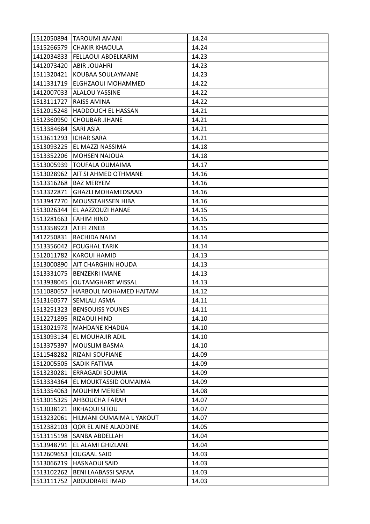|                        | 1512050894 TAROUMI AMANI          | 14.24 |
|------------------------|-----------------------------------|-------|
| 1515266579             | <b>CHAKIR KHAOULA</b>             | 14.24 |
| 1412034833             | <b>FELLAOUI ABDELKARIM</b>        | 14.23 |
|                        | 1412073420 ABIR JOUAHRI           | 14.23 |
| 1511320421             | KOUBAA SOULAYMANE                 | 14.23 |
|                        | 1411331719  ELGHZAOUI MOHAMMED    | 14.22 |
|                        | 1412007033 ALALOU YASSINE         | 14.22 |
| 1513111727             | <b>RAISS AMINA</b>                | 14.22 |
| 1512015248             | <b>HADDOUCH EL HASSAN</b>         | 14.21 |
| 1512360950             | <b>CHOUBAR JIHANE</b>             | 14.21 |
| 1513384684 SARI ASIA   |                                   | 14.21 |
| 1513611293  ICHAR SARA |                                   | 14.21 |
|                        | 1513093225 EL MAZZI NASSIMA       | 14.18 |
|                        | 1513352206 MOHSEN NAJOUA          | 14.18 |
| 1513005939             | <b>TOUFALA OUMAIMA</b>            | 14.17 |
|                        | 1513028962   AIT SI AHMED OTHMANE | 14.16 |
| 1513316268             | <b>BAZ MERYEM</b>                 | 14.16 |
| 1513322871             | <b>GHAZLI MOHAMEDSAAD</b>         | 14.16 |
| 1513947270             | <b>MOUSSTAHSSEN HIBA</b>          | 14.16 |
|                        | 1513026344 EL AAZZOUZI HANAE      | 14.15 |
| 1513281663 FAHIM HIND  |                                   | 14.15 |
| 1513358923             | <b>ATIFI ZINEB</b>                | 14.15 |
|                        | 1412250831 RACHIDA NAIM           | 14.14 |
|                        | 1513356042 FOUGHAL TARIK          | 14.14 |
|                        | 1512011782 KAROUI HAMID           | 14.13 |
|                        | 1513000890 AIT CHARGHIN HOUDA     | 14.13 |
| 1513331075             | <b>BENZEKRI IMANE</b>             | 14.13 |
| 1513938045             | <b>OUTAMGHART WISSAL</b>          | 14.13 |
| 1511080657             | HARBOUL MOHAMED HAITAM            | 14.12 |
|                        | 1513160577 SEMLALI ASMA           | 14.11 |
| 1513251323             | <b>BENSOUISS YOUNES</b>           | 14.11 |
|                        | 1512271895 RIZAOUI HIND           | 14.10 |
|                        | 1513021978   MAHDANE KHADIJA      | 14.10 |
| 1513093134             | <b>EL MOUHAJIR ADIL</b>           | 14.10 |
| 1513375397             | <b>MOUSLIM BASMA</b>              | 14.10 |
| 1511548282             | <b>RIZANI SOUFIANE</b>            | 14.09 |
|                        | 1512005505 SADIK FATIMA           | 14.09 |
|                        | 1513230281 ERRAGADI SOUMIA        | 14.09 |
| 1513334364             | EL MOUKTASSID OUMAIMA             | 14.09 |
| 1513354063             | <b>MOUHIM MERIEM</b>              | 14.08 |
| 1513015325             | <b>AHBOUCHA FARAH</b>             | 14.07 |
| 1513038121             | <b>RKHAOUI SITOU</b>              | 14.07 |
| 1513232061             | HILMANI OUMAIMA L YAKOUT          | 14.07 |
| 1512382103             | QOR EL AINE ALADDINE              | 14.05 |
| 1513115198             | <b>SANBA ABDELLAH</b>             | 14.04 |
| 1513948791             | EL ALAMI GHIZLANE                 | 14.04 |
| 1512609653             | <b>OUGAAL SAID</b>                | 14.03 |
| 1513066219             | <b>HASNAOUI SAID</b>              | 14.03 |
| 1513102262             | <b>BENI LAABASSI SAFAA</b>        | 14.03 |
| 1513111752             | <b>ABOUDRARE IMAD</b>             | 14.03 |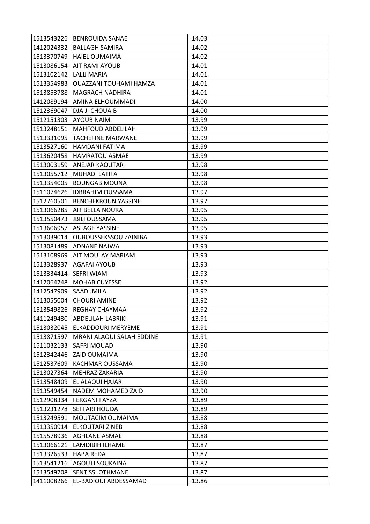|            | 1513543226 BENROUIDA SANAE       | 14.03 |
|------------|----------------------------------|-------|
| 1412024332 | <b>BALLAGH SAMIRA</b>            | 14.02 |
| 1513370749 | <b>HAIEL OUMAIMA</b>             | 14.02 |
| 1513086154 | <b>AIT RAMI AYOUB</b>            | 14.01 |
| 1513102142 | <b>LALIJ MARIA</b>               | 14.01 |
| 1513354983 | <b>OUAZZANI TOUHAMI HAMZA</b>    | 14.01 |
| 1513853788 | <b>MAGRACH NADHIRA</b>           | 14.01 |
| 1412089194 | AMINA ELHOUMMADI                 | 14.00 |
| 1512369047 | <b>DJAIJI CHOUAIB</b>            | 14.00 |
| 1512151303 | <b>AYOUB NAIM</b>                | 13.99 |
| 1513248151 | <b>MAHFOUD ABDELILAH</b>         | 13.99 |
| 1513331095 | <b>TACHEFINE MARWANE</b>         | 13.99 |
| 1513527160 | <b>HAMDANI FATIMA</b>            | 13.99 |
| 1513620458 | <b>HAMRATOU ASMAE</b>            | 13.99 |
| 1513003159 | <b>ANEJAR KAOUTAR</b>            | 13.98 |
|            | 1513055712 MIJHADI LATIFA        | 13.98 |
| 1513354005 | <b>BOUNGAB MOUNA</b>             | 13.98 |
| 1511074626 | <b>IDBRAHIM OUSSAMA</b>          | 13.97 |
|            | 1512760501 BENCHEKROUN YASSINE   | 13.97 |
| 1513066285 | <b>AIT BELLA NOURA</b>           | 13.95 |
| 1513550473 | <b>JBILI OUSSAMA</b>             | 13.95 |
| 1513606957 | <b>ASFAGE YASSINE</b>            | 13.95 |
| 1513039014 | <b>OUBOUSSEKSSOU ZAINIBA</b>     | 13.93 |
| 1513081489 | ADNANE NAJWA                     | 13.93 |
| 1513108969 | <b>AIT MOULAY MARIAM</b>         | 13.93 |
| 1513328937 | <b>AGAFAI AYOUB</b>              | 13.93 |
| 1513334414 | <b>SEFRI WIAM</b>                | 13.93 |
| 1412064748 | <b>MOHAB CUYESSE</b>             | 13.92 |
| 1412547909 | <b>SAAD JMILA</b>                | 13.92 |
| 1513055004 | <b>CHOURI AMINE</b>              | 13.92 |
| 1513549826 | <b>REGHAY CHAYMAA</b>            | 13.92 |
|            | 1411249430 ABDELILAH LABRIKI     | 13.91 |
|            | 1513032045 ELKADDOURI MERYEME    | 13.91 |
| 1513871597 | <b>MRANI ALAOUI SALAH EDDINE</b> | 13.91 |
| 1511032133 | <b>SAFRI MOUAD</b>               | 13.90 |
| 1512342446 | <b>ZAID OUMAIMA</b>              | 13.90 |
| 1512537609 | KACHMAR OUSSAMA                  | 13.90 |
| 1513027364 | <b>MEHRAZ ZAKARIA</b>            | 13.90 |
| 1513548409 | EL ALAOUI HAJAR                  | 13.90 |
| 1513549454 | <b>NADEM MOHAMED ZAID</b>        | 13.90 |
| 1512908334 | <b>FERGANI FAYZA</b>             | 13.89 |
|            | 1513231278 SEFFARI HOUDA         | 13.89 |
| 1513249591 | MOUTACIM OUMAIMA                 | 13.88 |
| 1513350914 | <b>ELKOUTARI ZINEB</b>           | 13.88 |
| 1515578936 | <b>AGHLANE ASMAE</b>             | 13.88 |
| 1513066121 | LAMDIBIH ILHAME                  | 13.87 |
| 1513326533 | <b>HABA REDA</b>                 | 13.87 |
| 1513541216 | <b>AGOUTI SOUKAINA</b>           | 13.87 |
| 1513549708 | <b>SENTISSI OTHMANE</b>          | 13.87 |
| 1411008266 | EL-BADIOUI ABDESSAMAD            | 13.86 |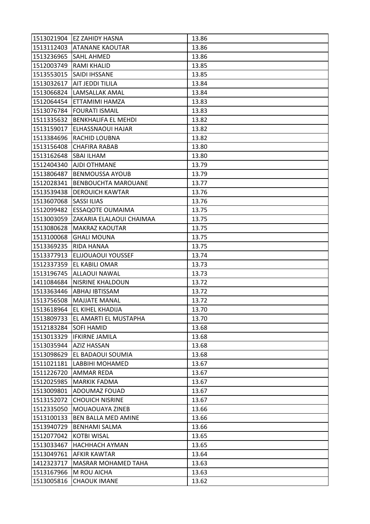|                       | 1513021904 EZ ZAHIDY HASNA         | 13.86 |
|-----------------------|------------------------------------|-------|
|                       | 1513112403 ATANANE KAOUTAR         | 13.86 |
| 1513236965 SAHL AHMED |                                    | 13.86 |
| 1512003749            | <b>RAMI KHALID</b>                 | 13.85 |
|                       | 1513553015   SAIDI IHSSANE         | 13.85 |
|                       | 1513032617  AIT JEDDI TILILA       | 13.84 |
|                       | 1513066824 LAMSALLAK AMAL          | 13.84 |
|                       | 1512064454 ETTAMIMI HAMZA          | 13.83 |
| 1513076784            | <b>FOURATI ISMAIL</b>              | 13.83 |
| 1511335632            | BENKHALIFA EL MEHDI                | 13.82 |
|                       | 1513159017 ELHASSNAOUI HAJAR       | 13.82 |
| 1513384696            | RACHID LOUBNA                      | 13.82 |
| 1513156408            | <b>CHAFIRA RABAB</b>               | 13.80 |
| 1513162648            | <b>SBAI ILHAM</b>                  | 13.80 |
| 1512404340            | AJDI OTHMANE                       | 13.79 |
|                       | 1513806487 BENMOUSSA AYOUB         | 13.79 |
| 1512028341            | <b>BENBOUCHTA MAROUANE</b>         | 13.77 |
| 1513539438            | <b>DEROUICH KAWTAR</b>             | 13.76 |
| 1513607068            | <b>SASSI ILIAS</b>                 | 13.76 |
| 1512099482            | <b>ESSAQOTE OUMAIMA</b>            | 13.75 |
| 1513003059            | ZAKARIA ELALAOUI CHAIMAA           | 13.75 |
| 1513080628            | <b>MAKRAZ KAOUTAR</b>              | 13.75 |
| 1513100068            | <b>GHALI MOUNA</b>                 | 13.75 |
| 1513369235            | RIDA HANAA                         | 13.75 |
| 1513377913            | ELJJOUAOUI YOUSSEF                 | 13.74 |
| 1512337359            | <b>EL KABILI OMAR</b>              | 13.73 |
| 1513196745            | <b>ALLAOUI NAWAL</b>               | 13.73 |
| 1411084684            | <b>NISRINE KHALDOUN</b>            | 13.72 |
| 1513363446            | <b>ABHAJ IBTISSAM</b>              | 13.72 |
| 1513756508            | <b>MAJJATE MANAL</b>               | 13.72 |
| 1513618964            | <b>EL KIHEL KHADIJA</b>            | 13.70 |
|                       | 1513809733   EL AMARTI EL MUSTAPHA | 13.70 |
| 1512183284 SOFI HAMID |                                    | 13.68 |
| 1513013329            | <b>IFKIRNE JAMILA</b>              | 13.68 |
| 1513035944            | <b>AZIZ HASSAN</b>                 | 13.68 |
| 1513098629            | EL BADAOUI SOUMIA                  | 13.68 |
|                       | 1511021181 LABBIHI MOHAMED         | 13.67 |
| 1511226720            | <b>AMMAR REDA</b>                  | 13.67 |
| 1512025985            | <b>MARKIK FADMA</b>                | 13.67 |
| 1513009801            | ADOUMAZ FOUAD                      | 13.67 |
| 1513152072            | <b>CHOUICH NISRINE</b>             | 13.67 |
|                       | 1512335050 MOUAOUAYA ZINEB         | 13.66 |
| 1513100133            | <b>BEN BALLA MED AMINE</b>         | 13.66 |
| 1513940729            | <b>BENHAMI SALMA</b>               | 13.66 |
| 1512077042            | <b>KOTBI WISAL</b>                 | 13.65 |
| 1513033467            | <b>HACHHACH AYMAN</b>              | 13.65 |
| 1513049761            | <b>AFKIR KAWTAR</b>                | 13.64 |
| 1412323717            | <b>MASRAR MOHAMED TAHA</b>         | 13.63 |
| 1513167966            | M ROU AICHA                        | 13.63 |
| 1513005816            | <b>CHAOUK IMANE</b>                | 13.62 |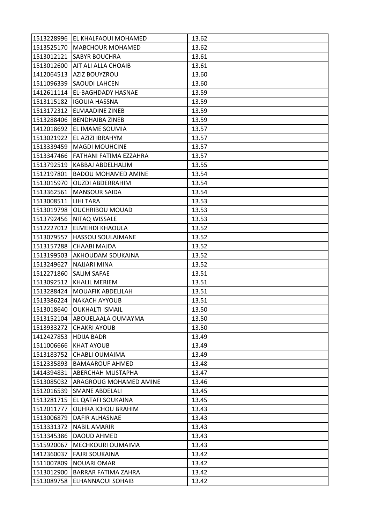|                        | 1513228996 EL KHALFAOUI MOHAMED   | 13.62 |
|------------------------|-----------------------------------|-------|
|                        | 1513525170   MABCHOUR MOHAMED     | 13.62 |
|                        | 1513012121 ISABYR BOUCHRA         | 13.61 |
|                        | 1513012600 AIT ALI ALLA CHOAIB    | 13.61 |
| 1412064513             | AZIZ BOUYZROU                     | 13.60 |
|                        | 1511096339 SAOUDI LAHCEN          | 13.60 |
|                        | 1412611114   EL-BAGHDADY HASNAE   | 13.59 |
| 1513115182             | <b>IGOUIA HASSNA</b>              | 13.59 |
|                        | 1513172312 ELMAADINE ZINEB        | 13.59 |
|                        | 1513288406   BENDHAIBA ZINEB      | 13.59 |
|                        | 1412018692 EL IMAME SOUMIA        | 13.57 |
|                        | 1513021922 EL AZIZI IBRAHYM       | 13.57 |
| 1513339459             | IMAGDI MOUHCINE                   | 13.57 |
|                        | 1513347466 FATHANI FATIMA EZZAHRA | 13.57 |
| 1513792519             | KABBAJ ABDELHALIM                 | 13.55 |
|                        | 1512197801   BADOU MOHAMED AMINE  | 13.54 |
| 1513015970             | <b>OUZDI ABDERRAHIM</b>           | 13.54 |
| 1513362561             | <b>MANSOUR SAIDA</b>              | 13.54 |
| 1513008511   LIHI TARA |                                   | 13.53 |
|                        | 1513019798 OUCHRIBOU MOUAD        | 13.53 |
|                        | 1513792456   NITAQ WISSALE        | 13.53 |
| 1512227012             | <b>ELMEHDI KHAOULA</b>            | 13.52 |
| 1513079557             | <b>HASSOU SOULAIMANE</b>          | 13.52 |
| 1513157288             | <b>CHAABI MAJDA</b>               | 13.52 |
| 1513199503             | <b>AKHOUDAM SOUKAINA</b>          | 13.52 |
| 1513249627             | <b>NAJJARI MINA</b>               | 13.52 |
| 1512271860             | <b>SALIM SAFAE</b>                | 13.51 |
| 1513092512             | <b>KHALIL MERIEM</b>              | 13.51 |
|                        | 1513288424   MOUAFIK ABDELILAH    | 13.51 |
|                        | 1513386224 NAKACH AYYOUB          | 13.51 |
| 1513018640             | <b>OUKHALTI ISMAIL</b>            | 13.50 |
|                        | 1513152104 ABOUELAALA OUMAYMA     | 13.50 |
|                        | 1513933272 CHAKRI AYOUB           | 13.50 |
| 1412427853             | <b>HDIJA BADR</b>                 | 13.49 |
| 1511006666             | <b>KHAT AYOUB</b>                 | 13.49 |
| 1513183752             | <b>CHABLI OUMAIMA</b>             | 13.49 |
| 1512335893             | <b>BAMAAROUF AHMED</b>            | 13.48 |
|                        | 1414394831 ABERCHAH MUSTAPHA      | 13.47 |
| 1513085032             | ARAGROUG MOHAMED AMINE            | 13.46 |
| 1512016539             | <b>SMANE ABDELALI</b>             | 13.45 |
| 1513281715             | EL QATAFI SOUKAINA                | 13.45 |
| 1512011777             | <b>OUHRA ICHOU BRAHIM</b>         | 13.43 |
| 1513006879             | <b>DAFIR ALHASNAE</b>             | 13.43 |
| 1513331372             | <b>NABIL AMARIR</b>               | 13.43 |
| 1513345386             | <b>DAOUD AHMED</b>                | 13.43 |
| 1515920067             | MECHKOURI OUMAIMA                 | 13.43 |
|                        | 1412360037 FAJRI SOUKAINA         | 13.42 |
| 1511007809             |                                   | 13.42 |
|                        | <b>NOUARI OMAR</b>                |       |
| 1513012900             | <b>BARRAR FATIMA ZAHRA</b>        | 13.42 |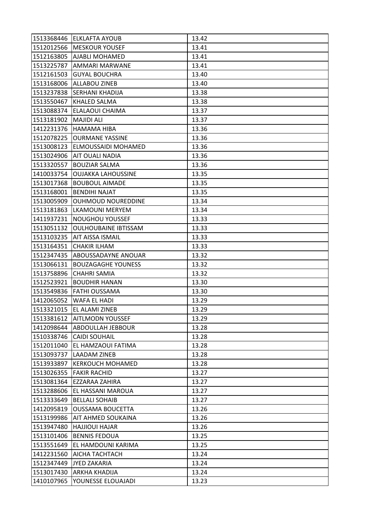|            | 1513368446 ELKLAFTA AYOUB     | 13.42 |
|------------|-------------------------------|-------|
|            | 1512012566   MESKOUR YOUSEF   | 13.41 |
| 1512163805 | <b>AJABLI MOHAMED</b>         | 13.41 |
| 1513225787 | AMMARI MARWANE                | 13.41 |
| 1512161503 | <b>GUYAL BOUCHRA</b>          | 13.40 |
|            | 1513168006 ALLABOU ZINEB      | 13.40 |
| 1513237838 | <b>SERHANI KHADIJA</b>        | 13.38 |
| 1513550467 | <b>KHALED SALMA</b>           | 13.38 |
| 1513088374 | ELALAOUI CHAIMA               | 13.37 |
| 1513181902 | <b>MAJIDI ALI</b>             | 13.37 |
|            | 1412231376 HAMAMA HIBA        | 13.36 |
|            | 1512078225 OURMANE YASSINE    | 13.36 |
| 1513008123 | <b>ELMOUSSAIDI MOHAMED</b>    | 13.36 |
| 1513024906 | <b>AIT OUALI NADIA</b>        | 13.36 |
| 1513320557 | <b>BOUZIAR SALMA</b>          | 13.36 |
| 1410033754 | <b>OUJAKKA LAHOUSSINE</b>     | 13.35 |
| 1513017368 | <b>BOUBOUL AIMADE</b>         | 13.35 |
| 1513168001 | <b>BENDIHI NAJAT</b>          | 13.35 |
| 1513005909 | <b>OUHMOUD NOUREDDINE</b>     | 13.34 |
| 1513181863 | <b>LKAMOUNI MERYEM</b>        | 13.34 |
| 1411937231 | <b>NOUGHOU YOUSSEF</b>        | 13.33 |
| 1513051132 | <b>OULHOUBAINE IBTISSAM</b>   | 13.33 |
| 1513103235 | <b>AIT AISSA ISMAIL</b>       | 13.33 |
| 1513164351 | <b>CHAKIR ILHAM</b>           | 13.33 |
| 1512347435 | ABOUSSADAYNE ANOUAR           | 13.32 |
|            |                               |       |
| 1513066131 | <b>BOUZAGAGHE YOUNESS</b>     | 13.32 |
| 1513758896 | <b>CHAHRI SAMIA</b>           | 13.32 |
| 1512523921 | <b>BOUDHIR HANAN</b>          | 13.30 |
| 1513549836 | FATHI OUSSAMA                 | 13.30 |
| 1412065052 | WAFA EL HADI                  | 13.29 |
| 1513321015 | EL ALAMI ZINEB                | 13.29 |
|            | 1513381612   AITLMODN YOUSSEF | 13.29 |
|            | 1412098644 ABDOULLAH JEBBOUR  | 13.28 |
| 1510338746 | <b>CAIDI SOUHAIL</b>          | 13.28 |
| 1512011040 | EL HAMZAOUI FATIMA            | 13.28 |
| 1513093737 | <b>LAADAM ZINEB</b>           | 13.28 |
|            | 1513933897  KERKOUCH MOHAMED  | 13.28 |
| 1513026355 | <b>FAKIR RACHID</b>           | 13.27 |
| 1513081364 | <b>EZZARAA ZAHIRA</b>         | 13.27 |
| 1513288606 | EL HASSANI MAROUA             | 13.27 |
| 1513333649 | <b>BELLALI SOHAIB</b>         | 13.27 |
| 1412095819 | <b>OUSSAMA BOUCETTA</b>       | 13.26 |
| 1513199986 | <b>AIT AHMED SOUKAINA</b>     | 13.26 |
| 1513947480 | <b>HAJJIOUI HAJAR</b>         | 13.26 |
| 1513101406 | <b>BENNIS FEDOUA</b>          | 13.25 |
| 1513551649 | EL HAMDOUNI KARIMA            | 13.25 |
| 1412231560 | <b>AICHA TACHTACH</b>         | 13.24 |
| 1512347449 | <b>JYED ZAKARIA</b>           | 13.24 |
| 1513017430 | <b>ARKHA KHADIJA</b>          | 13.24 |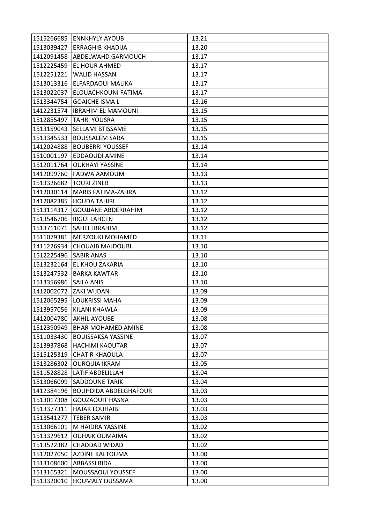|                          | 1515266685 ENNKHYLY AYOUB    | 13.21 |
|--------------------------|------------------------------|-------|
|                          | 1513039427 ERRAGHIB KHADIJA  | 13.20 |
| 1412091458               | <b>ABDELWAHD GARMOUCH</b>    | 13.17 |
| 1512225459               | <b>EL HOUR AHMED</b>         | 13.17 |
| 1512251221               | <b>WALID HASSAN</b>          | 13.17 |
| 1513013316               | ELFARDAOUI MALIKA            | 13.17 |
| 1513022037               | ELOUACHKOUNI FATIMA          | 13.17 |
| 1513344754               | <b>GOAICHE ISMA L</b>        | 13.16 |
| 1412231574               | <b>IBRAHIM EL MAMOUNI</b>    | 13.15 |
| 1512855497               | <b>TAHRI YOUSRA</b>          | 13.15 |
|                          | 1513159043 SELLAMI BTISSAME  | 13.15 |
| 1513345533               | <b>BOUSSALEM SARA</b>        | 13.15 |
| 1412024888               | <b>BOUBERRI YOUSSEF</b>      | 13.14 |
| 1510001197               | EDDAOUDI AMINE               | 13.14 |
| 1512011764               | <b>OUKHAYI YASSINE</b>       | 13.14 |
|                          | 1412099760 FADWA AAMOUM      | 13.13 |
| 1513326682   TOURI ZINEB |                              | 13.13 |
| 1412030114               | MARIS FATIMA-ZAHRA           | 13.12 |
| 1412082385               | <b>HOUDA TAHIRI</b>          | 13.12 |
| 1513114317               | <b>GOUJJANE ABDERRAHIM</b>   | 13.12 |
|                          | 1513546706  IRGUI LAHCEN     | 13.12 |
| 1513711071               | <b>SAHEL IBRAHIM</b>         | 13.12 |
| 1511079381               | <b>MERZOUKI MOHAMED</b>      | 13.11 |
| 1411226934               | <b>CHOUAIB MAJDOUBI</b>      | 13.10 |
| 1512225496 SABIR ANAS    |                              | 13.10 |
|                          | 1513232164 EL KHOU ZAKARIA   | 13.10 |
| 1513247532               | <b>BARKA KAWTAR</b>          | 13.10 |
| 1513356986               | <b>SAILA ANIS</b>            | 13.10 |
| 1412002072 ZAKI WIJDAN   |                              | 13.09 |
| 1512065295               | <b>LOUKRISSI MAHA</b>        | 13.09 |
| 1513957056               | <b>KILANI KHAWLA</b>         | 13.09 |
| 1412004780               | <b>AKHIL AYOUBE</b>          | 13.08 |
| 1512390949               | <b>BHAR MOHAMED AMINE</b>    | 13.08 |
| 1511033430               | <b>BOUISSAKSA YASSINE</b>    | 13.07 |
| 1513937868               | <b>HACHIMI KAOUTAR</b>       | 13.07 |
| 1515125319               | <b>CHATIR KHAOULA</b>        | 13.07 |
| 1513286302               | <b>OURQUIA IKRAM</b>         | 13.05 |
| 1511528828               | <b>LATIF ABDELILLAH</b>      | 13.04 |
| 1513066099               | <b>SADDOUNE TARIK</b>        | 13.04 |
| 1412384196               | <b>BOUHDIDA ABDELGHAFOUR</b> | 13.03 |
| 1513017308               | <b>GOUZAOUIT HASNA</b>       | 13.03 |
| 1513377311               | <b>HAJAR LOUHAIBI</b>        | 13.03 |
| 1513541277               | <b>TEBER SAMIR</b>           | 13.03 |
| 1513066101               | M HAIDRA YASSINE             | 13.02 |
| 1513329612               | <b>OUHAIK OUMAIMA</b>        | 13.02 |
| 1513522382               | <b>CHADDAD WIDAD</b>         | 13.02 |
| 1512027050               | <b>AZDINE KALTOUMA</b>       | 13.00 |
| 1513108600               | <b>ABBASSI RIDA</b>          | 13.00 |
| 1513165321               | <b>MOUSSAOUI YOUSSEF</b>     | 13.00 |
| 1513320010               | <b>HOUMALY OUSSAMA</b>       | 13.00 |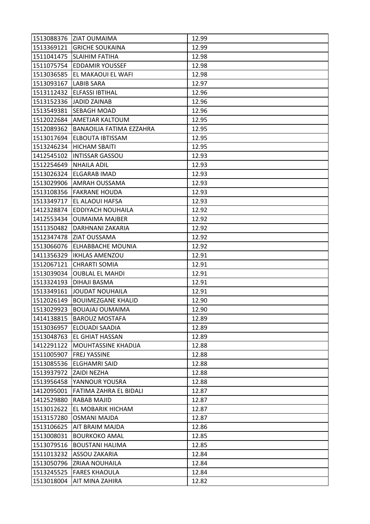|                        | 1513088376 ZIAT OUMAIMA           | 12.99 |
|------------------------|-----------------------------------|-------|
|                        | 1513369121 GRICHE SOUKAINA        | 12.99 |
|                        | 1511041475   SLAIHIM FATIHA       | 12.98 |
| 1511075754             | <b>EDDAMIR YOUSSEF</b>            | 12.98 |
| 1513036585             | IEL MAKAOUI EL WAFI               | 12.98 |
| 1513093167  LABIB SARA |                                   | 12.97 |
|                        | 1513112432 ELFASSI IBTIHAL        | 12.96 |
| 1513152336             | <b>JADID ZAINAB</b>               | 12.96 |
| 1513549381             | <b>SEBAGH MOAD</b>                | 12.96 |
|                        | 1512022684 AMETJAR KALTOUM        | 12.95 |
| 1512089362             | <b>BANAOILIA FATIMA EZZAHRA</b>   | 12.95 |
| 1513017694             | <b>ELBOUTA IBTISSAM</b>           | 12.95 |
| 1513246234             | <b>HICHAM SBAITI</b>              | 12.95 |
| 1412545102             | <b>INTISSAR GASSOU</b>            | 12.93 |
| 1512254649             | <b>NHAILA ADIL</b>                | 12.93 |
|                        | 1513026324 ELGARAB IMAD           | 12.93 |
| 1513029906             | <b>AMRAH OUSSAMA</b>              | 12.93 |
|                        | 1513108356 FAKRANE HOUDA          | 12.93 |
| 1513349717             | EL ALAOUI HAFSA                   | 12.93 |
| 1412328874             | <b>EDDIYACH NOUHAILA</b>          | 12.92 |
| 1412553434             | <b>OUMAIMA MAJBER</b>             | 12.92 |
| 1511350482             | DARHNANI ZAKARIA                  | 12.92 |
|                        | 1512347478 ZIAT OUSSAMA           | 12.92 |
| 1513066076             | <b>ELHABBACHE MOUNIA</b>          | 12.92 |
| 1411356329             | <b>IKHLAS AMENZOU</b>             | 12.91 |
| 1512067121             | <b>CHRARTI SOMIA</b>              | 12.91 |
| 1513039034             | <b>OUBLAL EL MAHDI</b>            | 12.91 |
| 1513324193             | <b>DIHAJI BASMA</b>               | 12.91 |
| 1513349161             | JOUDAT NOUHAILA                   | 12.91 |
| 1512026149             | <b>BOUIMEZGANE KHALID</b>         | 12.90 |
| 1513029923             | <b>BOUAJAJ OUMAIMA</b>            | 12.90 |
|                        | 1414138815   BAROUZ MOSTAFA       | 12.89 |
| 1513036957             | ELOUADI SAADIA                    | 12.89 |
| 1513048763             | <b>EL GHIAT HASSAN</b>            | 12.89 |
| 1412291122             | <b>MOUHTASSINE KHADIJA</b>        | 12.88 |
| 1511005907             | <b>FREJ YASSINE</b>               | 12.88 |
|                        | 1513085536 ELGHAMRI SAID          | 12.88 |
| 1513937972 ZAIDI NEZHA |                                   | 12.88 |
| 1513956458             | YANNOUR YOUSRA                    | 12.88 |
|                        | 1412095001 FATIMA ZAHRA EL BIDALI | 12.87 |
| 1412529880             | <b>RABAB MAJID</b>                | 12.87 |
| 1513012622             | <b>EL MOBARIK HICHAM</b>          | 12.87 |
| 1513157280             | <b>OSMANI MAJDA</b>               | 12.87 |
| 1513106625             | <b>AIT BRAIM MAJDA</b>            | 12.86 |
| 1513008031             | <b>BOURKOKO AMAL</b>              | 12.85 |
| 1513079516             | <b>BOUSTANI HALIMA</b>            | 12.85 |
|                        | 1511013232 ASSOU ZAKARIA          | 12.84 |
| 1513050796             | <b>ZRIAA NOUHAILA</b>             | 12.84 |
| 1513245525             | <b>FARES KHAOULA</b>              | 12.84 |
| 1513018004             | AIT MINA ZAHIRA                   | 12.82 |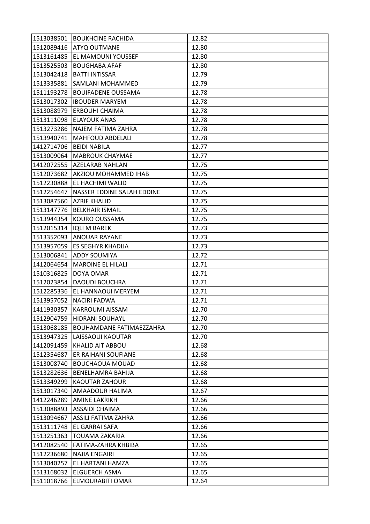|            | 1513038501 BOUKHCINE RACHIDA    | 12.82 |
|------------|---------------------------------|-------|
|            | 1512089416 ATYQ OUTMANE         | 12.80 |
| 1513161485 | <b>EL MAMOUNI YOUSSEF</b>       | 12.80 |
| 1513525503 | <b>BOUGHABA AFAF</b>            | 12.80 |
| 1513042418 | <b>BATTI INTISSAR</b>           | 12.79 |
| 1513335881 | SAMLANI MOHAMMED                | 12.79 |
| 1511193278 | <b>BOUIFADENE OUSSAMA</b>       | 12.78 |
| 1513017302 | <b>IBOUDER MARYEM</b>           | 12.78 |
| 1513088979 | <b>ERBOUHI CHAIMA</b>           | 12.78 |
| 1513111098 | <b>ELAYOUK ANAS</b>             | 12.78 |
|            | 1513273286 NAJEM FATIMA ZAHRA   | 12.78 |
|            | 1513940741   MAHFOUD ABDELALI   | 12.78 |
| 1412714706 | <b>BEIDI NABILA</b>             | 12.77 |
| 1513009064 | <b>MABROUK CHAYMAE</b>          | 12.77 |
| 1412072555 | <b>AZELARAB NAHLAN</b>          | 12.75 |
| 1512073682 | AKZIOU MOHAMMED IHAB            | 12.75 |
| 1512230888 | EL HACHIMI WALID                | 12.75 |
| 1512254647 | NASSER EDDINE SALAH EDDINE      | 12.75 |
| 1513087560 | <b>AZRIF KHALID</b>             | 12.75 |
| 1513147776 | <b>BELKHAIR ISMAIL</b>          | 12.75 |
| 1513944354 | <b>KOURO OUSSAMA</b>            | 12.75 |
| 1512015314 | <b>IQLI M BAREK</b>             | 12.73 |
| 1513352093 | <b>ANOUAR RAYANE</b>            | 12.73 |
| 1513957059 | <b>ES SEGHYR KHADIJA</b>        | 12.73 |
| 1513006841 | <b>ADDY SOUMIYA</b>             | 12.72 |
| 1412064654 | <b>MAROINE EL HILALI</b>        | 12.71 |
| 1510316825 | DOYA OMAR                       | 12.71 |
| 1512023854 | <b>DAOUDI BOUCHRA</b>           | 12.71 |
| 1512285336 | EL HANNAOUI MERYEM              | 12.71 |
| 1513957052 | <b>NACIRI FADWA</b>             | 12.71 |
| 1411930357 | <b>KARROUMI AISSAM</b>          | 12.70 |
|            | 1512904759 HIDRANI SOUHAYL      | 12.70 |
| 1513068185 | <b>BOUHAMDANE FATIMAEZZAHRA</b> | 12.70 |
| 1513947325 | LAISSAOUI KAOUTAR               | 12.70 |
| 1412091459 | <b>KHALID AIT ABBOU</b>         | 12.68 |
| 1512354687 | ER RAIHANI SOUFIANE             | 12.68 |
| 1513008740 | <b>BOUCHAOUA MOUAD</b>          | 12.68 |
| 1513282636 | <b>BENELHAMRA BAHIJA</b>        | 12.68 |
| 1513349299 | <b>KAOUTAR ZAHOUR</b>           | 12.68 |
| 1513017340 | <b>AMAADOUR HALIMA</b>          | 12.67 |
| 1412246289 | <b>AMINE LAKRIKH</b>            | 12.66 |
| 1513088893 | <b>ASSAIDI CHAIMA</b>           | 12.66 |
| 1513094667 | <b>ASSILI FATIMA ZAHRA</b>      | 12.66 |
| 1513111748 | <b>EL GARRAI SAFA</b>           | 12.66 |
| 1513251363 | <b>TOUAMA ZAKARIA</b>           | 12.66 |
| 1412082540 | FATIMA-ZAHRA KHBIBA             | 12.65 |
| 1512236680 | <b>NAJIA ENGAIRI</b>            | 12.65 |
| 1513040257 | <b>EL HARTANI HAMZA</b>         | 12.65 |
| 1513168032 | <b>ELGUERCH ASMA</b>            | 12.65 |
| 1511018766 | <b>ELMOURABITI OMAR</b>         | 12.64 |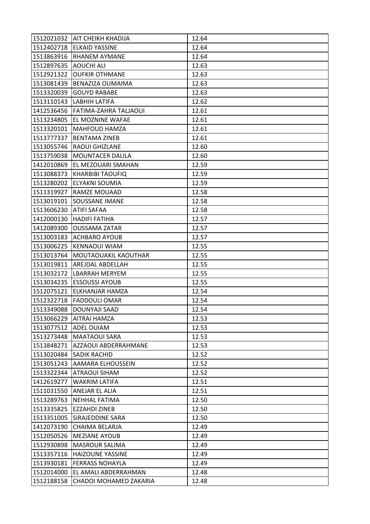|                        | 1512021032 AIT CHEIKH KHADIJA    | 12.64 |
|------------------------|----------------------------------|-------|
|                        | 1512402718 ELKAID YASSINE        | 12.64 |
|                        | 1513863916 RHANEM AYMANE         | 12.64 |
| 1512897635             | <b>AOUCHI ALI</b>                | 12.63 |
| 1512921322             | <b>OUFKIR OTHMANE</b>            | 12.63 |
| 1513081439             | <b>BENAZIZA OUMAIMA</b>          | 12.63 |
| 1513320039             | <b>GOUYD RABABE</b>              | 12.63 |
| 1513110143             | LABHIH LATIFA                    | 12.62 |
|                        | 1412536456 FATIMA-ZAHRA TALJAOUI | 12.61 |
| 1513234805             | EL MOZNINE WAFAE                 | 12.61 |
|                        | 1513320101   MAHFOUD HAMZA       | 12.61 |
| 1513777337             | <b>BENTAMA ZINEB</b>             | 12.61 |
| 1513055746             | <b>RAOUI GHIZLANE</b>            | 12.60 |
| 1513759038             | <b>MOUNTACER DALILA</b>          | 12.60 |
| 1412010869             | EL MEZOUARI SMAHAN               | 12.59 |
|                        | 1513088373 KHARBIBI TAOUFIQ      | 12.59 |
|                        | 1513280202 ELYAKNI SOUMIA        | 12.59 |
| 1511319927             | RAMZE MOUAAD                     | 12.58 |
|                        | 1513019101 SOUSSANE IMANE        | 12.58 |
| 1513606230 ATIFI SAFAA |                                  | 12.58 |
|                        | 1412000130 HADIFI FATIHA         | 12.57 |
| 1412089300             | <b>OUSSAMA ZATAR</b>             | 12.57 |
| 1513003183             | <b>ACHBARO AYOUB</b>             | 12.57 |
| 1513006225             | <b>KENNAOUI WIAM</b>             | 12.55 |
| 1513013764             | MOUTAOUAKIL KAOUTHAR             | 12.55 |
|                        | 1513019811 AREJDAL ABDELLAH      | 12.55 |
| 1513032172             | LBARRAH MERYEM                   | 12.55 |
| 1513034235             | <b>ESSOUSSI AYOUB</b>            | 12.55 |
| 1512075121             | <b>ELKHANJAR HAMZA</b>           | 12.54 |
| 1512322718             | <b>FADDOULI OMAR</b>             | 12.54 |
| 1513349088             | <b>DOUNYAJI SAAD</b>             | 12.54 |
|                        | 1513066229   AITRAI HAMZA        | 12.53 |
| 1513077512 ADEL OUIAM  |                                  | 12.53 |
| 1513273448             | <b>MAATAOUI SARA</b>             | 12.53 |
| 1513848271             | AZZAOUI ABDERRAHMANE             | 12.53 |
| 1513020484             | <b>SADIK RACHID</b>              | 12.52 |
| 1513051243             | AAMARA ELHOUSSEIN                | 12.52 |
|                        | 1513322344 ATRAOUI SIHAM         | 12.52 |
| 1412619277             | <b>WAKRIM LATIFA</b>             | 12.51 |
| 1511031550             | ANEJAR EL ALIA                   | 12.51 |
| 1513289763             | <b>NEHHAL FATIMA</b>             | 12.50 |
| 1513335825             | <b>EZZAHDI ZINEB</b>             | 12.50 |
| 1513351005             | SIRAJEDDINE SARA                 | 12.50 |
| 1412073190             | CHAIMA BELARJA                   | 12.49 |
| 1512050526             | <b>MEZIANE AYOUB</b>             | 12.49 |
| 1512930898             | <b>MASROUR SALIMA</b>            | 12.49 |
|                        | 1513357116 HAIZOUNE YASSINE      | 12.49 |
| 1513930181             | <b>FERRASS NOHAYLA</b>           | 12.49 |
| 1512014000             | EL AMALI ABDERRAHMAN             | 12.48 |
| 1512188158             | CHADOI MOHAMED ZAKARIA           | 12.48 |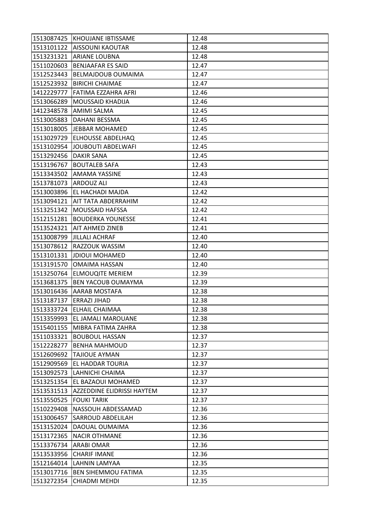|                          | 1513087425 KHOUJANE IBTISSAME    | 12.48 |
|--------------------------|----------------------------------|-------|
|                          | 1513101122 AISSOUNI KAOUTAR      | 12.48 |
|                          | 1513231321 ARIANE LOUBNA         | 12.48 |
| 1511020603               | <b>BENJAAFAR ES SAID</b>         | 12.47 |
| 1512523443               | <b>BELMAJDOUB OUMAIMA</b>        | 12.47 |
| 1512523932               | <b>BIRICHI CHAIMAE</b>           | 12.47 |
|                          | 1412229777   FATIMA EZZAHRA AFRI | 12.46 |
| 1513066289               | MOUSSAID KHADIJA                 | 12.46 |
| 1412348578               | <b>AMIMI SALMA</b>               | 12.45 |
| 1513005883               | <b>DAHANI BESSMA</b>             | 12.45 |
|                          | 1513018005 JEBBAR MOHAMED        | 12.45 |
|                          | 1513029729 ELHOUSSE ABDELHAQ     | 12.45 |
| 1513102954               | JOUBOUTI ABDELWAFI               | 12.45 |
| 1513292456 DAKIR SANA    |                                  | 12.45 |
| 1513196767               | <b>BOUTALEB SAFA</b>             | 12.43 |
|                          | 1513343502 AMAMA YASSINE         | 12.43 |
| 1513781073               | <b>ARDOUZ ALI</b>                | 12.43 |
| 1513003896               | EL HACHADI MAJDA                 | 12.42 |
|                          | 1513094121   AIT TATA ABDERRAHIM | 12.42 |
| 1513251342               | <b>MOUSSAID HAFSSA</b>           | 12.42 |
| 1512151281               | <b>BOUDERKA YOUNESSE</b>         | 12.41 |
| 1513524321               | <b>AIT AHMED ZINEB</b>           | 12.41 |
| 1513008799               | <b>JILLALI ACHRAF</b>            | 12.40 |
| 1513078612               | RAZZOUK WASSIM                   | 12.40 |
| 1513101331               | <b>JDIOUI MOHAMED</b>            | 12.40 |
| 1513191570               | <b>OMAIMA HASSAN</b>             | 12.40 |
| 1513250764               | <b>ELMOUQITE MERIEM</b>          | 12.39 |
| 1513681375               | <b>BEN YACOUB OUMAYMA</b>        | 12.39 |
| 1513016436               | <b>AARAB MOSTAFA</b>             | 12.38 |
| 1513187137  ERRAZI JIHAD |                                  | 12.38 |
| 1513333724               | <b>ELHAIL CHAIMAA</b>            | 12.38 |
|                          | 1513359993   EL JAMALI MAROUANE  | 12.38 |
|                          | 1515401155   MIBRA FATIMA ZAHRA  | 12.38 |
| 1511033321               | <b>BOUBOUL HASSAN</b>            | 12.37 |
| 1512228277               | <b>BENHA MAHMOUD</b>             | 12.37 |
| 1512609692               | <b>TAJIOUE AYMAN</b>             | 12.37 |
| 1512909569               | EL HADDAR TOURIA                 | 12.37 |
|                          | 1513092573   LAHNICHI CHAIMA     | 12.37 |
| 1513251354               | EL BAZAOUI MOHAMED               | 12.37 |
| 1513531513               | AZZEDDINE ELIDRISSI HAYTEM       | 12.37 |
| 1513550525               | <b>FOUKI TARIK</b>               | 12.37 |
| 1510229408               | <b>NASSOUH ABDESSAMAD</b>        | 12.36 |
| 1513006457               | <b>SARROUD ABDELILAH</b>         | 12.36 |
| 1513152024               | DAOUAL OUMAIMA                   | 12.36 |
| 1513172365               | <b>NACIR OTHMANE</b>             | 12.36 |
| 1513376734               | <b>ARABI OMAR</b>                | 12.36 |
| 1513533956               | <b>CHARIF IMANE</b>              | 12.36 |
| 1512164014               | LAHNIN LAMYAA                    | 12.35 |
| 1513017716               | <b>BEN SIHEMMOU FATIMA</b>       | 12.35 |
| 1513272354               | CHIADMI MEHDI                    | 12.35 |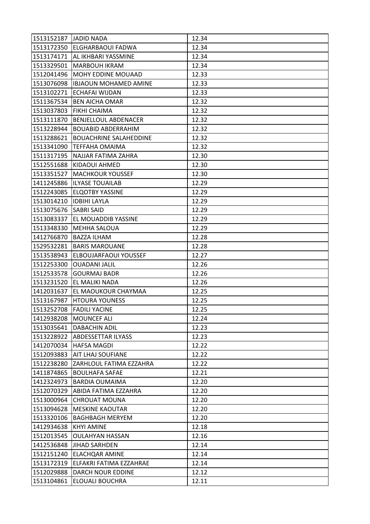| 1513152187 JADID NADA    |                                    | 12.34 |
|--------------------------|------------------------------------|-------|
|                          | 1513172350 ELGHARBAOUI FADWA       | 12.34 |
| 1513174171               | AL IKHBARI YASSMINE                | 12.34 |
| 1513329501               | <b>MARBOUH IKRAM</b>               | 12.34 |
|                          | 1512041496   MOHY EDDINE MOUAAD    | 12.33 |
|                          | 1513076098   IBJAOUN MOHAMED AMINE | 12.33 |
|                          | 1513102271 ECHAFAI WIJDAN          | 12.33 |
| 1511367534               | <b>BEN AICHA OMAR</b>              | 12.32 |
| 1513037803               | <b>FIKHI CHAIMA</b>                | 12.32 |
| 1513111870               | <b>BENJELLOUL ABDENACER</b>        | 12.32 |
| 1513228944               | <b>BOUABID ABDERRAHIM</b>          | 12.32 |
| 1513288621               | <b>BOUACHRINE SALAHEDDINE</b>      | 12.32 |
| 1513341090               | ITEFFAHA OMAIMA                    | 12.32 |
| 1511317195               | NAJJAR FATIMA ZAHRA                | 12.30 |
| 1512551688               | KIDAOUI AHMED                      | 12.30 |
|                          | 1513351527  MACHKOUR YOUSSEF       | 12.30 |
|                          | 1411245886 ILYASE TOUAILAB         | 12.29 |
| 1512243085               | <b>ELQOTBY YASSINE</b>             | 12.29 |
| 1513014210  IDBIHI LAYLA |                                    | 12.29 |
| 1513075676 SABRI SAID    |                                    | 12.29 |
| 1513083337               | EL MOUADDIB YASSINE                | 12.29 |
| 1513348330               | <b>MEHHA SALOUA</b>                | 12.29 |
| 1412766870               | <b>BAZZA ILHAM</b>                 | 12.28 |
| 1529532281               | <b>BARIS MAROUANE</b>              | 12.28 |
| 1513538943               | <b>ELBOUJARFAOUI YOUSSEF</b>       | 12.27 |
| 1512253300               | <b>OUADANI JALIL</b>               | 12.26 |
| 1512533578               | <b>GOURMAJ BADR</b>                | 12.26 |
| 1513231520               | EL MALIKI NADA                     | 12.26 |
| 1412031637               | EL MAOUKOUR CHAYMAA                | 12.25 |
| 1513167987               | <b>HTOURA YOUNESS</b>              | 12.25 |
| 1513252708               | <b>FADILI YACINE</b>               | 12.25 |
|                          | 1412938208 MOUNCEF ALI             | 12.24 |
|                          | 1513035641   DABACHIN ADIL         | 12.23 |
| 1513228922               | <b>ABDESSETTAR ILYASS</b>          | 12.23 |
| 1412070034               | <b>HAFSA MAGDI</b>                 | 12.22 |
| 1512093883               | <b>AIT LHAJ SOUFIANE</b>           | 12.22 |
|                          | 1512238280 ZARHLOUL FATIMA EZZAHRA | 12.22 |
| 1411874865               | <b>BOULHAFA SAFAE</b>              | 12.21 |
| 1412324973               | <b>BARDIA OUMAIMA</b>              | 12.20 |
| 1512070329               | ABIDA FATIMA EZZAHRA               | 12.20 |
| 1513000964               | <b>CHROUAT MOUNA</b>               | 12.20 |
| 1513094628               | <b>MESKINE KAOUTAR</b>             | 12.20 |
| 1513320106               | <b>BAGHBAGH MERYEM</b>             | 12.20 |
| 1412934638               | <b>KHYI AMINE</b>                  | 12.18 |
| 1512013545               | <b>OULAHYAN HASSAN</b>             | 12.16 |
| 1412536848               | <b>JIHAD SARHDEN</b>               | 12.14 |
| 1512151240               | <b>ELACHQAR AMINE</b>              | 12.14 |
| 1513172319               | ELFAKRI FATIMA EZZAHRAE            | 12.14 |
| 1512029888               | <b>DARCH NOUR EDDINE</b>           | 12.12 |
| 1513104861               | <b>ELOUALI BOUCHRA</b>             | 12.11 |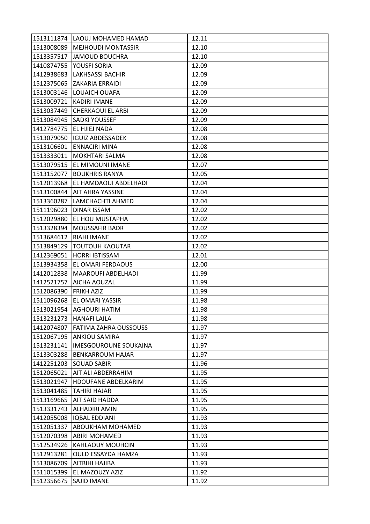|            | 1513111874 LAOUJ MOHAMED HAMAD  | 12.11 |
|------------|---------------------------------|-------|
|            | 1513008089   MEJHOUDI MONTASSIR | 12.10 |
|            | 1513357517 JAMOUD BOUCHRA       | 12.10 |
| 1410874755 | YOUSFI SORIA                    | 12.09 |
| 1412938683 | <b>LAKHSASSI BACHIR</b>         | 12.09 |
|            | 1512375065  ZAKARIA ERRAIDI     | 12.09 |
|            | 1513003146 LOUAICH OUAFA        | 12.09 |
| 1513009721 | <b>KADIRI IMANE</b>             | 12.09 |
|            | 1513037449 CHERKAOUI EL ARBI    | 12.09 |
|            | 1513084945   SADKI YOUSSEF      | 12.09 |
|            | 1412784775 EL HJIEJ NADA        | 12.08 |
|            | 1513079050 IGUIZ ABDESSADEK     | 12.08 |
| 1513106601 | <b>ENNACIRI MINA</b>            | 12.08 |
|            | 1513333011 MOKHTARI SALMA       | 12.08 |
| 1513079515 | <b>EL MIMOUNI IMANE</b>         | 12.07 |
|            | 1513152077   BOUKHRIS RANYA     | 12.05 |
| 1512013968 | EL HAMDAOUI ABDELHADI           | 12.04 |
| 1513100844 | <b>AIT AHRA YASSINE</b>         | 12.04 |
| 1513360287 | LAMCHACHTI AHMED                | 12.04 |
| 1511196023 | <b>DINAR ISSAM</b>              | 12.02 |
| 1512029880 | <b>EL HOU MUSTAPHA</b>          | 12.02 |
| 1513328394 | <b>MOUSSAFIR BADR</b>           | 12.02 |
| 1513684612 | <b>RIAHI IMANE</b>              | 12.02 |
| 1513849129 | <b>TOUTOUH KAOUTAR</b>          | 12.02 |
|            | 1412369051 HORRI IBTISSAM       | 12.01 |
|            | 1513934358 EL OMARI FERDAOUS    | 12.00 |
| 1412012838 | <b>MAAROUFI ABDELHADI</b>       | 11.99 |
| 1412521757 | <b>AICHA AOUZAL</b>             | 11.99 |
| 1512086390 | <b>FRIKH AZIZ</b>               | 11.99 |
| 1511096268 | <b>EL OMARI YASSIR</b>          | 11.98 |
| 1513021954 | <b>AGHOURI HATIM</b>            | 11.98 |
|            | 1513231273   HANAFI LAILA       | 11.98 |
| 1412074807 | <b>FATIMA ZAHRA OUSSOUSS</b>    | 11.97 |
| 1512067195 | <b>ANKIOU SAMIRA</b>            | 11.97 |
| 1513231141 | <b>IMESGOUROUNE SOUKAINA</b>    | 11.97 |
| 1513303288 | IBENKARROUM HAJAR               | 11.97 |
|            | 1412251203 SOUAD SABIR          | 11.96 |
| 1512065021 | <b>AIT ALI ABDERRAHIM</b>       | 11.95 |
| 1513021947 | <b>HDOUFANE ABDELKARIM</b>      | 11.95 |
| 1513041485 | <b>TAHIRI HAJAR</b>             | 11.95 |
| 1513169665 | <b>AIT SAID HADDA</b>           | 11.95 |
| 1513331743 | <b>ALHADIRI AMIN</b>            | 11.95 |
| 1412055008 | <b>IQBAL EDDIANI</b>            | 11.93 |
| 1512051337 | <b>ABOUKHAM MOHAMED</b>         | 11.93 |
| 1512070398 | <b>ABIRI MOHAMED</b>            | 11.93 |
| 1512534926 | <b>KAHLAOUY MOUHCIN</b>         | 11.93 |
| 1512913281 | <b>OULD ESSAYDA HAMZA</b>       | 11.93 |
| 1513086709 | AITBIHI HAJIBA                  | 11.93 |
| 1511015399 | EL MAZOUZY AZIZ                 | 11.92 |
| 1512356675 | SAJID IMANE                     | 11.92 |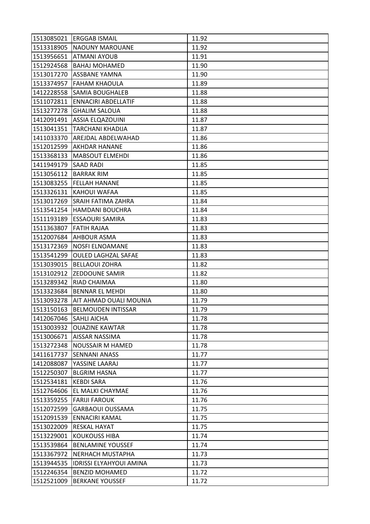|                        | 1513085021 ERGGAB ISMAIL       | 11.92 |
|------------------------|--------------------------------|-------|
|                        | 1513318905 NAOUNY MAROUANE     | 11.92 |
| 1513956651             | <b>ATMANI AYOUB</b>            | 11.91 |
| 1512924568             | <b>BAHAJ MOHAMED</b>           | 11.90 |
| 1513017270             | <b>ASSBANE YAMNA</b>           | 11.90 |
| 1513374957             | <b>FAHAM KHAOULA</b>           | 11.89 |
| 1412228558             | <b>SAMIA BOUGHALEB</b>         | 11.88 |
| 1511072811             | <b>ENNACIRI ABDELLATIF</b>     | 11.88 |
| 1513277278             | <b>GHALIM SALOUA</b>           | 11.88 |
| 1412091491             | <b>ASSIA ELQAZOUINI</b>        | 11.87 |
|                        | 1513041351 TARCHANI KHADIJA    | 11.87 |
| 1411033370             | AREJDAL ABDELWAHAD             | 11.86 |
| 1512012599             | AKHDAR HANANE                  | 11.86 |
| 1513368133             | <b>MABSOUT ELMEHDI</b>         | 11.86 |
| 1411949179             | <b>SAAD RADI</b>               | 11.85 |
| 1513056112             | <b>BARRAK RIM</b>              | 11.85 |
| 1513083255             | <b>FELLAH HANANE</b>           | 11.85 |
| 1513326131             | KAHOUI WAFAA                   | 11.85 |
| 1513017269             | <b>SRAIH FATIMA ZAHRA</b>      | 11.84 |
| 1513541254             | <b>HAMDANI BOUCHRA</b>         | 11.84 |
| 1511193189             | <b>ESSAOURI SAMIRA</b>         | 11.83 |
| 1511363807             | <b>FATIH RAJAA</b>             | 11.83 |
| 1512007684             | <b>AHBOUR ASMA</b>             | 11.83 |
| 1513172369             | <b>NOSFI ELNOAMANE</b>         | 11.83 |
| 1513541299             | <b>OULED LAGHZAL SAFAE</b>     | 11.83 |
| 1513039015             | <b>BELLAOUI ZOHRA</b>          | 11.82 |
| 1513102912             | <b>ZEDDOUNE SAMIR</b>          | 11.82 |
| 1513289342             | RIAD CHAIMAA                   | 11.80 |
| 1513323684             | <b>BENNAR EL MEHDI</b>         | 11.80 |
| 1513093278             | AIT AHMAD OUALI MOUNIA         | 11.79 |
| 1513150163             | <b>BELMOUDEN INTISSAR</b>      | 11.79 |
| 1412067046 SAHLI AICHA |                                | 11.78 |
| 1513003932             | <b>OUAZINE KAWTAR</b>          | 11.78 |
| 1513006671             | <b>AISSAR NASSIMA</b>          | 11.78 |
| 1513272348             | <b>NOUSSAIR M HAMED</b>        | 11.78 |
| 1411617737             | <b>SENNANI ANASS</b>           | 11.77 |
| 1412088087             | YASSINE LAARAJ                 | 11.77 |
| 1512250307             | <b>BLGRIM HASNA</b>            | 11.77 |
| 1512534181             | <b>KEBDI SARA</b>              | 11.76 |
| 1512764606             | EL MALKI CHAYMAE               | 11.76 |
| 1513359255             | <b>FARIJI FAROUK</b>           | 11.76 |
| 1512072599             | <b>GARBAOUI OUSSAMA</b>        | 11.75 |
| 1512091539             | <b>ENNACIRI KAMAL</b>          | 11.75 |
| 1513022009             | <b>RESKAL HAYAT</b>            | 11.75 |
| 1513229001             | <b>KOUKOUSS HIBA</b>           | 11.74 |
| 1513539864             | <b>BENLAMINE YOUSSEF</b>       | 11.74 |
| 1513367972             | <b>NERHACH MUSTAPHA</b>        | 11.73 |
| 1513944535             | <b>IDRISSI ELYAHYOUI AMINA</b> | 11.73 |
| 1512246354             | <b>BENZID MOHAMED</b>          | 11.72 |
| 1512521009             | <b>BERKANE YOUSSEF</b>         | 11.72 |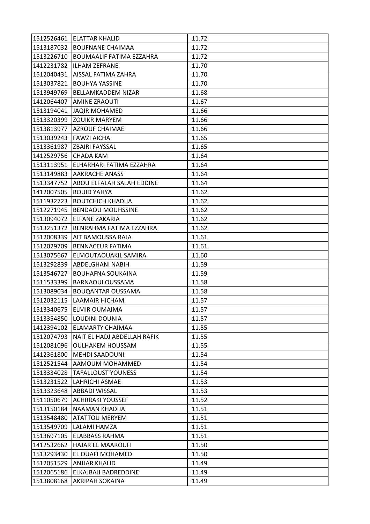|                      | 1512526461 ELATTAR KHALID              | 11.72 |
|----------------------|----------------------------------------|-------|
|                      | 1513187032 BOUFNANE CHAIMAA            | 11.72 |
| 1513226710           | <b>BOUMAALIF FATIMA EZZAHRA</b>        | 11.72 |
|                      | 1412231782   ILHAM ZEFRANE             | 11.70 |
|                      | 1512040431   AISSAL FATIMA ZAHRA       | 11.70 |
| 1513037821           | <b>BOUHYA YASSINE</b>                  | 11.70 |
| 1513949769           | <b>BELLAMKADDEM NIZAR</b>              | 11.68 |
| 1412064407           | <b>AMINE ZRAOUTI</b>                   | 11.67 |
|                      | 1513194041 JAQIR MOHAMED               | 11.66 |
|                      | 1513320399 ZOUIKR MARYEM               | 11.66 |
|                      | 1513813977   AZROUF CHAIMAE            | 11.66 |
|                      | 1513039243 FAWZI AICHA                 | 11.65 |
| 1513361987           | IZBAIRI FAYSSAL                        | 11.65 |
| 1412529756 CHADA KAM |                                        | 11.64 |
| 1513113951           | ELHARHARI FATIMA EZZAHRA               | 11.64 |
|                      | 1513149883 AAKRACHE ANASS              | 11.64 |
|                      | 1513347752 ABOU ELFALAH SALAH EDDINE   | 11.64 |
| 1412007505           | <b>BOUID YAHYA</b>                     | 11.62 |
| 1511932723           | <b>BOUTCHICH KHADIJA</b>               | 11.62 |
|                      | 1512271945  BENDAOU MOUHSSINE          | 11.62 |
|                      | 1513094072 ELFANE ZAKARIA              | 11.62 |
| 1513251372           | BENRAHMA FATIMA EZZAHRA                | 11.62 |
| 1512008339           | <b>AIT BAMOUSSA RAJA</b>               | 11.61 |
| 1512029709           | <b>BENNACEUR FATIMA</b>                | 11.61 |
| 1513075667           | ELMOUTAOUAKIL SAMIRA                   | 11.60 |
| 1513292839           | ABDELGHANI NABIH                       | 11.59 |
| 1513546727           | <b>BOUHAFNA SOUKAINA</b>               | 11.59 |
| 1511533399           | <b>BARNAOUI OUSSAMA</b>                | 11.58 |
| 1513089034           | <b>BOUQANTAR OUSSAMA</b>               | 11.58 |
| 1512032115           | <b>LAAMAIR HICHAM</b>                  | 11.57 |
| 1513340675           | <b>ELMIR OUMAIMA</b>                   | 11.57 |
|                      | 1513354850 LOUDINI DOUNIA              | 11.57 |
|                      | 1412394102 ELAMARTY CHAIMAA            | 11.55 |
|                      | 1512074793 NAIT EL HADJ ABDELLAH RAFIK | 11.55 |
| 1512081096           | <b>OULHAKEM HOUSSAM</b>                | 11.55 |
| 1412361800           | <b>MEHDI SAADOUNI</b>                  | 11.54 |
|                      | 1512521544 AAMOUM MOHAMMED             | 11.54 |
| 1513334028           | <b>TAFALLOUST YOUNESS</b>              | 11.54 |
| 1513231522           | LAHRICHI ASMAE                         | 11.53 |
| 1513323648           | <b>ABBADI WISSAL</b>                   | 11.53 |
| 1511050679           | <b>ACHRRAKI YOUSSEF</b>                | 11.52 |
|                      | 1513150184 NAAMAN KHADIJA              | 11.51 |
| 1513548480           | <b>ATATTOU MERYEM</b>                  | 11.51 |
| 1513549709           | LALAMI HAMZA                           | 11.51 |
| 1513697105           | <b>ELABBASS RAHMA</b>                  | 11.51 |
| 1412532662           | <b>HAJAR EL MAAROUFI</b>               | 11.50 |
| 1513293430           | EL OUAFI MOHAMED                       | 11.50 |
| 1512051529           | <b>ANJJAR KHALID</b>                   | 11.49 |
| 1512065186           | ELKAJBAJI BADREDDINE                   | 11.49 |
| 1513808168           | AKRIPAH SOKAINA                        | 11.49 |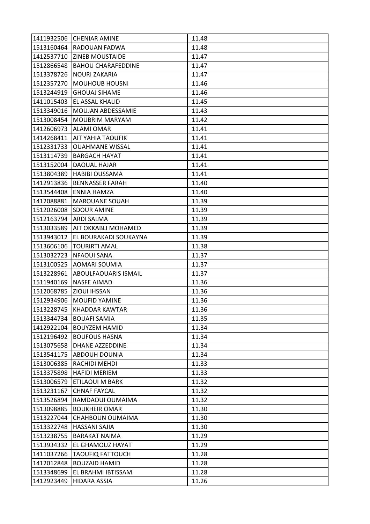|                       | 1411932506 CHENIAR AMINE       | 11.48 |
|-----------------------|--------------------------------|-------|
|                       | 1513160464 RADOUAN FADWA       | 11.48 |
|                       | 1412537710 ZINEB MOUSTAIDE     | 11.47 |
| 1512866548            | <b>BAHOU CHARAFEDDINE</b>      | 11.47 |
|                       | 1513378726 NOURI ZAKARIA       | 11.47 |
|                       | 1512357270 MOUHOUB HOUSNI      | 11.46 |
| 1513244919            | <b>GHOUAJ SIHAME</b>           | 11.46 |
| 1411015403            | <b>EL ASSAL KHALID</b>         | 11.45 |
|                       | 1513349016   MOUJAN ABDESSAMIE | 11.43 |
| 1513008454            | <b>MOUBRIM MARYAM</b>          | 11.42 |
|                       | 1412606973 ALAMI OMAR          | 11.41 |
|                       | 1414268411   AIT YAHIA TAOUFIK | 11.41 |
| 1512331733            | <b>OUAHMANE WISSAL</b>         | 11.41 |
| 1513114739            | <b>BARGACH HAYAT</b>           | 11.41 |
| 1513152004            | DAOUAL HAJAR                   | 11.41 |
|                       | 1513804389 HABIBI OUSSAMA      | 11.41 |
| 1412913836            | <b>BENNASSER FARAH</b>         | 11.40 |
| 1513544408            | <b>ENNIA HAMZA</b>             | 11.40 |
|                       | 1412088881   MAROUANE SOUAH    | 11.39 |
|                       | 1512026008 SDOUR AMINE         | 11.39 |
| 1512163794 ARDI SALMA |                                | 11.39 |
| 1513033589            | AIT OKKABLI MOHAMED            | 11.39 |
| 1513943012            | EL BOURAKADI SOUKAYNA          | 11.39 |
| 1513606106            | <b>TOURIRTI AMAL</b>           | 11.38 |
|                       | 1513032723  NFAOUI SANA        | 11.37 |
| 1513100525            | <b>AOMARI SOUMIA</b>           | 11.37 |
| 1513228961            | <b>ABOULFAOUARIS ISMAIL</b>    | 11.37 |
| 1511940169            | NASFE AIMAD                    | 11.36 |
|                       | 1512068785 ZIOUI IHSSAN        | 11.36 |
|                       | 1512934906   MOUFID YAMINE     | 11.36 |
| 1513228745            | KHADDAR KAWTAR                 | 11.36 |
|                       | 1513344734   BOUAFI SAMIA      | 11.35 |
|                       | 1412922104 BOUYZEM HAMID       | 11.34 |
| 1512196492            | <b>BOUFOUS HASNA</b>           | 11.34 |
| 1513075658            | <b>DHANE AZZEDDINE</b>         | 11.34 |
| 1513541175            | <b>ABDOUH DOUNIA</b>           | 11.34 |
| 1513006385            | RACHIDI MEHDI                  | 11.33 |
| 1513375898            | <b>HAFIDI MERIEM</b>           | 11.33 |
| 1513006579            | ETILAOUI M BARK                | 11.32 |
| 1513231167            | <b>CHNAF FAYCAL</b>            | 11.32 |
| 1513526894            | RAMDAOUI OUMAIMA               | 11.32 |
| 1513098885            | <b>BOUKHEIR OMAR</b>           | 11.30 |
| 1513227044            | CHAHBOUN OUMAIMA               | 11.30 |
| 1513322748            | <b>HASSANI SAJIA</b>           | 11.30 |
| 1513238755            | <b>BARAKAT NAIMA</b>           | 11.29 |
| 1513934332            | EL GHAMOUZ HAYAT               | 11.29 |
| 1411037266            | <b>TAOUFIQ FATTOUCH</b>        | 11.28 |
| 1412012848            | <b>BOUZAID HAMID</b>           | 11.28 |
| 1513348699            | EL BRAHMI IBTISSAM             | 11.28 |
| 1412923449            | HIDARA ASSIA                   | 11.26 |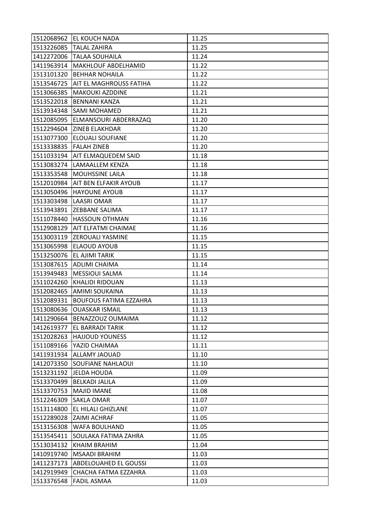|            | 1512068962 EL KOUCH NADA             | 11.25 |
|------------|--------------------------------------|-------|
| 1513226085 | <b>TALAL ZAHIRA</b>                  | 11.25 |
| 1412272006 | <b>TALAA SOUHAILA</b>                | 11.24 |
| 1411963914 | <b>MAKHLOUF ABDELHAMID</b>           | 11.22 |
|            | 1513101320 BEHHAR NOHAILA            | 11.22 |
|            | 1513546725   AIT EL MAGHROUSS FATIHA | 11.22 |
|            | 1513066385   MAKOUKI AZDDINE         | 11.21 |
| 1513522018 | <b>BENNANI KANZA</b>                 | 11.21 |
|            | 1513934348 SAMI MOHAMED              | 11.21 |
| 1512085095 | ELMANSOURI ABDERRAZAQ                | 11.20 |
|            | 1512294604 ZINEB ELAKHDAR            | 11.20 |
|            | 1513077300 ELOUALI SOUFIANE          | 11.20 |
| 1513338835 | <b>FALAH ZINEB</b>                   | 11.20 |
|            | 1511033194   AIT ELMAQUEDEM SAID     | 11.18 |
|            | 1513083274  LAMAALLEM KENZA          | 11.18 |
|            | 1513353548   MOUHSSINE LAILA         | 11.18 |
|            | 1512010984   AIT BEN ELFAKIR AYOUB   | 11.17 |
|            | 1513050496 HAYOUNE AYOUB             | 11.17 |
|            | 1513303498 LAASRI OMAR               | 11.17 |
|            | 1513943891  ZEBBANE SALIMA           | 11.17 |
|            | 1511078440 HASSOUN OTHMAN            | 11.16 |
| 1512908129 | <b>AIT ELFATMI CHAIMAE</b>           | 11.16 |
|            | 1513003119 ZEROUALI YASMINE          | 11.15 |
|            | 1513065998 ELAOUD AYOUB              | 11.15 |
|            | 1513250076 EL AJIMI TARIK            | 11.15 |
|            | 1513087615 ADLIMI CHAIMA             | 11.14 |
|            | 1513949483  MESSIOUI SALMA           | 11.14 |
|            |                                      |       |
| 1511024260 | <b>KHALIDI RIDOUAN</b>               | 11.13 |
| 1512082465 | <b>AMIMI SOUKAINA</b>                | 11.13 |
| 1512089331 | <b>BOUFOUS FATIMA EZZAHRA</b>        | 11.13 |
| 1513080636 | <b>OUASKAR ISMAIL</b>                | 11.13 |
|            | 1411290664 BENAZZOUZ OUMAIMA         | 11.12 |
|            | 1412619377 EL BARRADI TARIK          | 11.12 |
| 1512028263 | <b>HAJJOUD YOUNESS</b>               | 11.12 |
| 1511089166 | YAZID CHAIMAA                        | 11.11 |
| 1411931934 | <b>ALLAMY JAOUAD</b>                 | 11.10 |
|            | 1412073350 SOUFIANE NAHLAOUI         | 11.10 |
| 1513231192 | <b>JELDA HOUDA</b>                   | 11.09 |
| 1513370499 | <b>BELKADI JALILA</b>                | 11.09 |
| 1513370753 | <b>MAJID IMANE</b>                   | 11.08 |
| 1512246309 | <b>SAKLA OMAR</b>                    | 11.07 |
|            | 1513114800 EL HILALI GHIZLANE        | 11.07 |
|            | 1512289028 ZAIMI ACHRAF              | 11.05 |
| 1513156308 | <b>WAFA BOULHAND</b>                 | 11.05 |
| 1513545411 | SOULAKA FATIMA ZAHRA                 | 11.05 |
| 1513034132 | KHAIM BRAHIM                         | 11.04 |
| 1410919740 | <b>MSAADI BRAHIM</b>                 | 11.03 |
| 1411237173 | <b>ABDELOUAHED EL GOUSSI</b>         | 11.03 |
| 1412919949 | CHACHA FATMA EZZAHRA                 | 11.03 |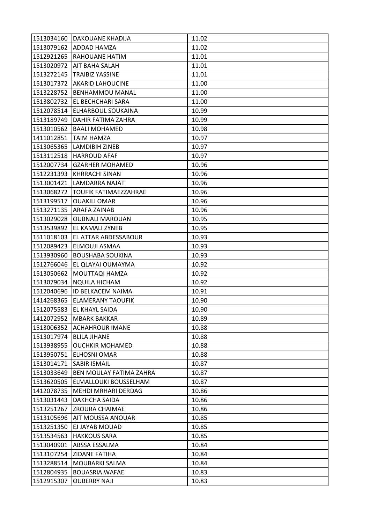|            | 1513034160   DAKOUANE KHADIJA  | 11.02 |
|------------|--------------------------------|-------|
| 1513079162 | <b>ADDAD HAMZA</b>             | 11.02 |
| 1512921265 | <b>RAHOUANE HATIM</b>          | 11.01 |
| 1513020972 | <b>AIT BAHA SALAH</b>          | 11.01 |
| 1513272145 | <b>TRAIBIZ YASSINE</b>         | 11.01 |
| 1513017372 | <b>AKARID LAHOUCINE</b>        | 11.00 |
| 1513228752 | <b>BENHAMMOU MANAL</b>         | 11.00 |
| 1513802732 | EL BECHCHARI SARA              | 11.00 |
| 1512078514 | <b>ELHARBOUL SOUKAINA</b>      | 10.99 |
| 1513189749 | <b>DAHIR FATIMA ZAHRA</b>      | 10.99 |
| 1513010562 | <b>BAALI MOHAMED</b>           | 10.98 |
|            | 1411012851  TAIM HAMZA         | 10.97 |
| 1513065365 | LAMDIBIH ZINEB                 | 10.97 |
| 1513112518 | <b>HARROUD AFAF</b>            | 10.97 |
| 1512007734 | <b>GZARHER MOHAMED</b>         | 10.96 |
| 1512231393 | <b>KHRRACHI SINAN</b>          | 10.96 |
| 1513001421 | LAMDARRA NAJAT                 | 10.96 |
| 1513068272 | <b>TOUFIK FATIMAEZZAHRAE</b>   | 10.96 |
| 1513199517 | <b>OUAKILI OMAR</b>            | 10.96 |
| 1513271135 | <b>ARAFA ZAINAB</b>            | 10.96 |
| 1513029028 | <b>OUBNALI MAROUAN</b>         | 10.95 |
| 1513539892 | EL KAMALI ZYNEB                | 10.95 |
| 1511018103 | <b>EL ATTAR ABDESSABOUR</b>    | 10.93 |
| 1512089423 | ELMOUJI ASMAA                  | 10.93 |
| 1513930960 | <b>BOUSHABA SOUKINA</b>        | 10.93 |
|            | 1512766046 EL QLAYAI OUMAYMA   | 10.92 |
| 1513050662 | MOUTTAQI HAMZA                 | 10.92 |
| 1513079034 | <b>NQUILA HICHAM</b>           | 10.92 |
|            | 1512040696 ID BELKACEM NAIMA   | 10.91 |
| 1414268365 | <b>ELAMERANY TAOUFIK</b>       | 10.90 |
| 1512075583 | <b>EL KHAYL SAIDA</b>          | 10.90 |
|            | 1412072952 MBARK BAKKAR        | 10.89 |
| 1513006352 | <b>ACHAHROUR IMANE</b>         | 10.88 |
| 1513017974 | <b>BLILA JIHANE</b>            | 10.88 |
| 1513938955 | <b>OUCHKIR MOHAMED</b>         | 10.88 |
| 1513950751 | ELHOSNI OMAR                   | 10.88 |
|            | 1513014171   SABIR ISMAIL      | 10.87 |
| 1513033649 | <b>BEN MOULAY FATIMA ZAHRA</b> | 10.87 |
| 1513620505 | <b>ELMALLOUKI BOUSSELHAM</b>   | 10.87 |
| 1412078735 | MEHDI MRHARI DERDAG            | 10.86 |
| 1513031443 | DAKHCHA SAIDA                  | 10.86 |
|            | 1513251267 ZROURA CHAIMAE      | 10.86 |
| 1513105696 | <b>AIT MOUSSA ANOUAR</b>       | 10.85 |
| 1513251350 | EJ JAYAB MOUAD                 | 10.85 |
| 1513534563 | <b>HAKKOUS SARA</b>            | 10.85 |
| 1513040901 | ABSSA ESSALMA                  | 10.84 |
| 1513107254 | <b>ZIDANE FATIHA</b>           | 10.84 |
| 1513288514 | MOUBARKI SALMA                 | 10.84 |
| 1512804935 | <b>BOUASRIA WAFAE</b>          | 10.83 |
| 1512915307 | <b>OUBERRY NAJI</b>            | 10.83 |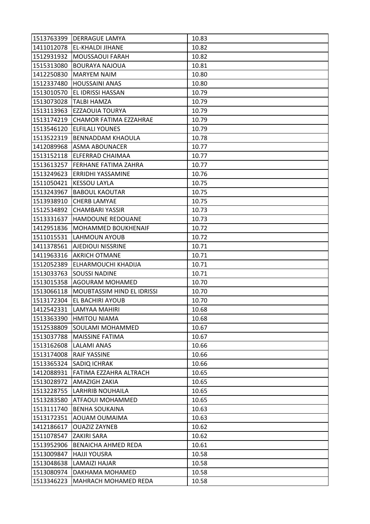|            | 1513763399 DERRAGUE LAMYA      | 10.83 |
|------------|--------------------------------|-------|
|            | 1411012078 EL-KHALDI JIHANE    | 10.82 |
|            | 1512931932  MOUSSAOUI FARAH    | 10.82 |
| 1515313080 | <b>BOURAYA NAJOUA</b>          | 10.81 |
| 1412250830 | <b>MARYEM NAIM</b>             | 10.80 |
| 1512337480 | <b>HOUSSAINI ANAS</b>          | 10.80 |
| 1513010570 | <b>EL IDRISSI HASSAN</b>       | 10.79 |
| 1513073028 | <b>TALBI HAMZA</b>             | 10.79 |
| 1513113963 | <b>EZZAOUIA TOURYA</b>         | 10.79 |
| 1513174219 | CHAMOR FATIMA EZZAHRAE         | 10.79 |
| 1513546120 | <b>ELFILALI YOUNES</b>         | 10.79 |
| 1513522319 | <b>BENNADDAM KHAOULA</b>       | 10.78 |
| 1412089968 | <b>ASMA ABOUNACER</b>          | 10.77 |
|            | 1513152118 ELFERRAD CHAIMAA    | 10.77 |
| 1513613257 | FERHANE FATIMA ZAHRA           | 10.77 |
|            | 1513249623 ERRIDHI YASSAMINE   | 10.76 |
| 1511050421 | <b>KESSOU LAYLA</b>            | 10.75 |
| 1513243967 | <b>BABOUL KAOUTAR</b>          | 10.75 |
| 1513938910 | <b>CHERB LAMYAE</b>            | 10.75 |
| 1512534892 | <b>CHAMBARI YASSIR</b>         | 10.73 |
| 1513331637 | <b>HAMDOUNE REDOUANE</b>       | 10.73 |
| 1412951836 | <b>MOHAMMED BOUKHENAIF</b>     | 10.72 |
|            | 1511015531 LAHMOUN AYOUB       | 10.72 |
|            | 1411378561 AJEDIOUI NISSRINE   | 10.71 |
|            | 1411963316 AKRICH OTMANE       | 10.71 |
| 1512052389 | ELHARMOUCHI KHADIJA            | 10.71 |
| 1513033763 | <b>SOUSSI NADINE</b>           | 10.71 |
| 1513015358 | <b>AGOURAM MOHAMED</b>         | 10.70 |
| 1513066118 | MOUBTASSIM HIND EL IDRISSI     | 10.70 |
| 1513172304 | EL BACHIRI AYOUB               | 10.70 |
| 1412542331 | LAMYAA MAHIRI                  | 10.68 |
|            | 1513363390 HMITOU NIAMA        | 10.68 |
| 1512538809 | <b>SOULAMI MOHAMMED</b>        | 10.67 |
| 1513037788 | <b>MAISSINE FATIMA</b>         | 10.67 |
| 1513162608 | <b>LALAMI ANAS</b>             | 10.66 |
| 1513174008 | <b>RAIF YASSINE</b>            | 10.66 |
|            | 1513365324 SADIQ ICHRAK        | 10.66 |
| 1412088931 | <b>IFATIMA EZZAHRA ALTRACH</b> | 10.65 |
| 1513028972 | <b>AMAZIGH ZAKIA</b>           | 10.65 |
| 1513228755 | <b>LARHRIB NOUHAILA</b>        | 10.65 |
| 1513283580 | ATFAOUI MOHAMMED               | 10.65 |
| 1513111740 | <b>BENHA SOUKAINA</b>          | 10.63 |
| 1513172351 | AOUAM OUMAIMA                  | 10.63 |
| 1412186617 | <b>OUAZIZ ZAYNEB</b>           | 10.62 |
| 1511078547 | <b>ZAKIRI SARA</b>             | 10.62 |
| 1513952906 | <b>BENAICHA AHMED REDA</b>     | 10.61 |
| 1513009847 | <b>HAJJI YOUSRA</b>            | 10.58 |
| 1513048638 | LAMAIZI HAJAR                  | 10.58 |
| 1513080974 | DAKHAMA MOHAMED                | 10.58 |
| 1513346223 | MAHRACH MOHAMED REDA           | 10.58 |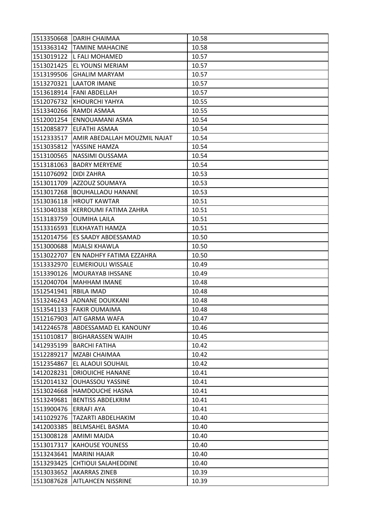|                         | 1513350668 DARIH CHAIMAA         | 10.58 |
|-------------------------|----------------------------------|-------|
|                         | 1513363142 TAMINE MAHACINE       | 10.58 |
|                         | 1513019122 L FALI MOHAMED        | 10.57 |
| 1513021425              | <b>EL YOUNSI MERIAM</b>          | 10.57 |
| 1513199506              | <b>GHALIM MARYAM</b>             | 10.57 |
| 1513270321              | <b>LAATOR IMANE</b>              | 10.57 |
|                         | 1513618914   FANI ABDELLAH       | 10.57 |
| 1512076732              | <b>KHOURCHI YAHYA</b>            | 10.55 |
|                         | 1513340266 RAMDI ASMAA           | 10.55 |
| 1512001254              | ENNOUAMANI ASMA                  | 10.54 |
| 1512085877              | <b>ELFATHI ASMAA</b>             | 10.54 |
| 1512333517              | AMIR ABEDALLAH MOUZMIL NAJAT     | 10.54 |
| 1513035812              | YASSINE HAMZA                    | 10.54 |
| 1513100565              | NASSIMI OUSSAMA                  | 10.54 |
| 1513181063              | <b>BADRY MERYEME</b>             | 10.54 |
| 1511076092   DIDI ZAHRA |                                  | 10.53 |
| 1513011709              | <b>AZZOUZ SOUMAYA</b>            | 10.53 |
| 1513017268              | <b>BOUHALLAOU HANANE</b>         | 10.53 |
|                         | 1513036118 HROUT KAWTAR          | 10.51 |
| 1513040338              | KERROUMI FATIMA ZAHRA            | 10.51 |
| 1513183759              | <b>OUMIHA LAILA</b>              | 10.51 |
| 1513316593              | ELKHAYATI HAMZA                  | 10.51 |
|                         | 1512014756 ES SAADY ABDESSAMAD   | 10.50 |
| 1513000688              | <b>MJALSI KHAWLA</b>             | 10.50 |
| 1513022707              | <b>EN NADHFY FATIMA EZZAHRA</b>  | 10.50 |
|                         |                                  |       |
| 1513332970              | <b>ELMERIOULI WISSALE</b>        | 10.49 |
| 1513390126              | IMOURAYAB IHSSANE                | 10.49 |
| 1512040704              | <b>MAHHAM IMANE</b>              | 10.48 |
| 1512541941              | <b>RBILA IMAD</b>                | 10.48 |
|                         | 1513246243 ADNANE DOUKKANI       | 10.48 |
| 1513541133              | <b>FAKIR OUMAIMA</b>             | 10.48 |
|                         | 1512167903   AIT GARMA WAFA      | 10.47 |
|                         | 1412246578 ABDESSAMAD EL KANOUNY | 10.46 |
| 1511010817              | <b>BIGHARASSEN WAJIH</b>         | 10.45 |
| 1412935199              | <b>BARCHI FATIHA</b>             | 10.42 |
| 1512289217              | <b>MZABI CHAIMAA</b>             | 10.42 |
| 1512354867              | <b>EL ALAOUI SOUHAIL</b>         | 10.42 |
|                         | 1412028231   DRIOUICHE HANANE    | 10.41 |
| 1512014132              | <b>OUHASSOU YASSINE</b>          | 10.41 |
| 1513024668              | <b>HAMDOUCHE HASNA</b>           | 10.41 |
| 1513249681              | <b>BENTISS ABDELKRIM</b>         | 10.41 |
| 1513900476 ERRAFI AYA   |                                  | 10.41 |
| 1411029276              | <b>TAZARTI ABDELHAKIM</b>        | 10.40 |
| 1412003385              | <b>BELMSAHEL BASMA</b>           | 10.40 |
| 1513008128              | <b>AMIMI MAJDA</b>               | 10.40 |
| 1513017317              | <b>KAHOUSE YOUNESS</b>           | 10.40 |
| 1513243641              | MARINI HAJAR                     | 10.40 |
| 1513293425              | <b>CHTIOUI SALAHEDDINE</b>       | 10.40 |
| 1513033652              | <b>AKARRAS ZINEB</b>             | 10.39 |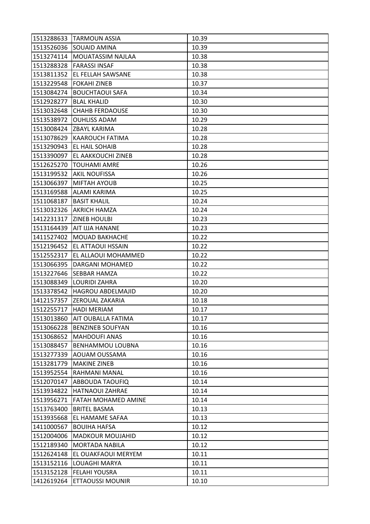|            | 1513288633 TARMOUN ASSIA        | 10.39 |
|------------|---------------------------------|-------|
|            | 1513526036 SOUAID AMINA         | 10.39 |
|            | 1513274114   MOUATASSIM NAJLAA  | 10.38 |
|            | 1513288328 FARASSI INSAF        | 10.38 |
|            | 1513811352 EL FELLAH SAWSANE    | 10.38 |
|            | 1513229548 FOKAHI ZINEB         | 10.37 |
|            | 1513084274 BOUCHTAOUI SAFA      | 10.34 |
| 1512928277 | <b>BLAL KHALID</b>              | 10.30 |
| 1513032648 | <b>CHAHB FERDAOUSE</b>          | 10.30 |
|            | 1513538972 OUHLISS ADAM         | 10.29 |
|            | 1513008424 ZBAYL KARIMA         | 10.28 |
|            | 1513078629 KAAROUCH FATIMA      | 10.28 |
| 1513290943 | <b>EL HAIL SOHAIB</b>           | 10.28 |
| 1513390097 | <b>EL AAKKOUCHI ZINEB</b>       | 10.28 |
| 1512625270 | <b>TOUHAMI AMRE</b>             | 10.26 |
|            | 1513199532 AKIL NOUFISSA        | 10.26 |
|            | 1513066397   MIFTAH AYOUB       | 10.25 |
| 1513169588 | <b>ALAMI KARIMA</b>             | 10.25 |
| 1511068187 | <b>BASIT KHALIL</b>             | 10.24 |
|            | 1513032326 AKRICH HAMZA         | 10.24 |
|            | 1412231317   ZINEB HOULBI       | 10.23 |
|            | 1513164439   AIT IJJA HANANE    | 10.23 |
|            | 1411527402   MOUAD BAKHACHE     | 10.22 |
|            | 1512196452 EL ATTAOUI HSSAIN    | 10.22 |
| 1512552317 | EL ALLAOUI MOHAMMED             | 10.22 |
|            | 1513066395   DARGANI MOHAMED    | 10.22 |
| 1513227646 | <b>SEBBAR HAMZA</b>             | 10.22 |
| 1513088349 | <b>LOURIDI ZAHRA</b>            | 10.20 |
| 1513378542 | <b>HAGROU ABDELMAJID</b>        | 10.20 |
|            | 1412157357 ZEROUAL ZAKARIA      | 10.18 |
| 1512255717 | <b>HADI MERIAM</b>              | 10.17 |
|            | 1513013860   AIT OUBALLA FATIMA | 10.17 |
|            | 1513066228   BENZINEB SOUFYAN   | 10.16 |
| 1513068652 | <b>MAHDOUFI ANAS</b>            | 10.16 |
| 1513088457 | <b>BENHAMMOU LOUBNA</b>         | 10.16 |
| 1513277339 | AOUAM OUSSAMA                   | 10.16 |
| 1513281779 | <b>MAKINE ZINEB</b>             | 10.16 |
|            | 1513952554 RAHMANI MANAL        | 10.16 |
| 1512070147 | <b>ABBOUDA TAOUFIQ</b>          | 10.14 |
| 1513934822 | <b>HATNAOUI ZAHRAE</b>          | 10.14 |
| 1513956271 | <b>FATAH MOHAMED AMINE</b>      | 10.14 |
| 1513763400 | <b>BRITEL BASMA</b>             | 10.13 |
| 1513935668 | EL HAMAME SAFAA                 | 10.13 |
| 1411000567 | <b>BOUIHA HAFSA</b>             | 10.12 |
| 1512004006 | <b>MADKOUR MOUJAHID</b>         | 10.12 |
| 1512189340 | <b>MORTADA NABILA</b>           | 10.12 |
| 1512624148 | EL OUAKFAOUI MERYEM             | 10.11 |
| 1513152116 | LOUAGHI MARYA                   | 10.11 |
| 1513152128 | <b>FELAHI YOUSRA</b>            | 10.11 |
|            | <b>ETTAOUSSI MOUNIR</b>         | 10.10 |